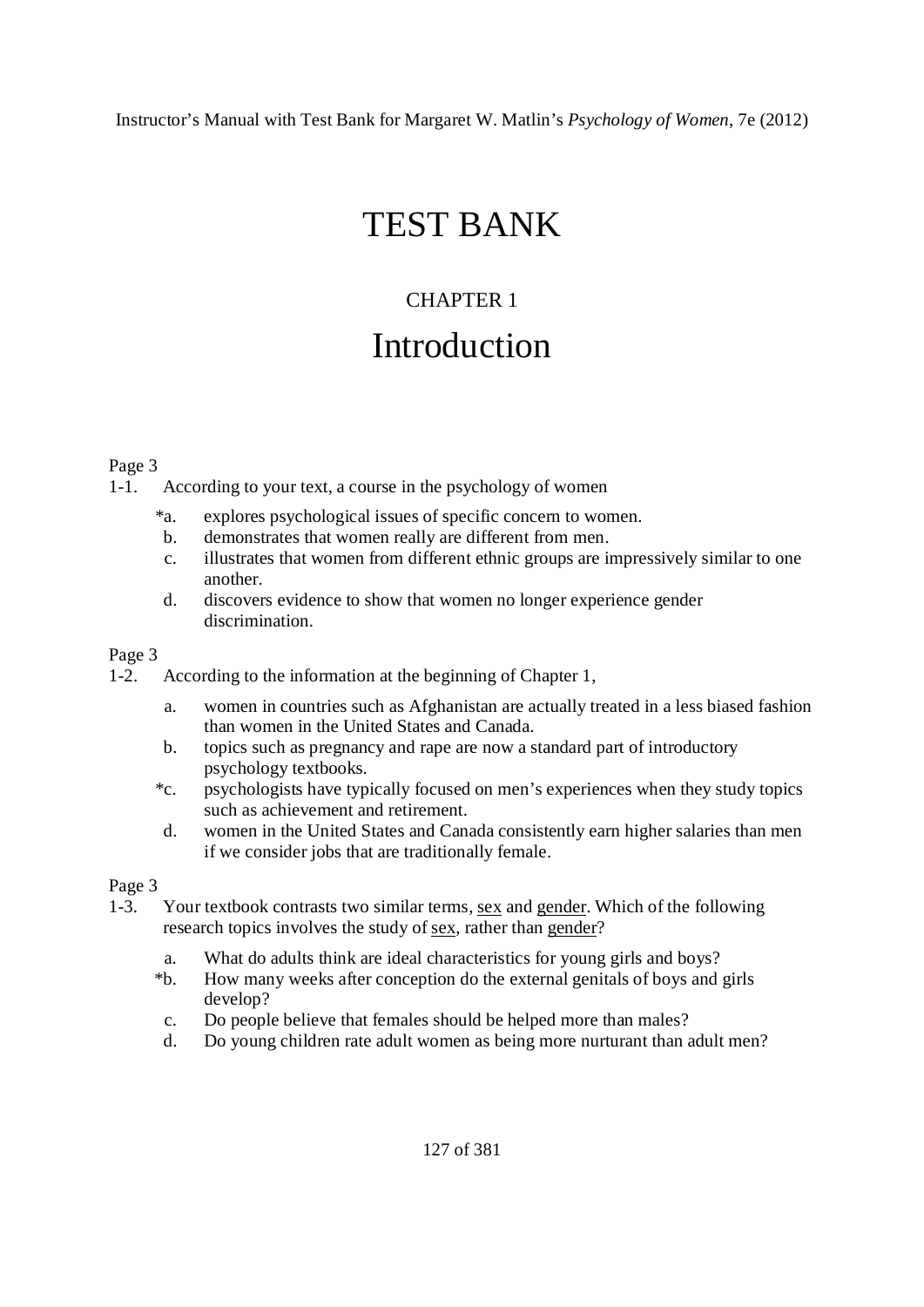# TEST BANK

## CHAPTER 1 Introduction

#### Page 3

1-1. According to your text, a course in the psychology of women

- \*a. explores psychological issues of specific concern to women.
- b. demonstrates that women really are different from men.
- c. illustrates that women from different ethnic groups are impressively similar to one another.
- d. discovers evidence to show that women no longer experience gender discrimination.

#### Page 3

- 1-2. According to the information at the beginning of Chapter 1,
	- a. women in countries such as Afghanistan are actually treated in a less biased fashion than women in the United States and Canada.
	- b. topics such as pregnancy and rape are now a standard part of introductory psychology textbooks.
	- \*c. psychologists have typically focused on men's experiences when they study topics such as achievement and retirement.
	- d. women in the United States and Canada consistently earn higher salaries than men if we consider jobs that are traditionally female.

- 1-3. Your textbook contrasts two similar terms, sex and gender. Which of the following research topics involves the study of sex, rather than gender?
	- a. What do adults think are ideal characteristics for young girls and boys?
	- \*b. How many weeks after conception do the external genitals of boys and girls develop?
	- c. Do people believe that females should be helped more than males?
	- d. Do young children rate adult women as being more nurturant than adult men?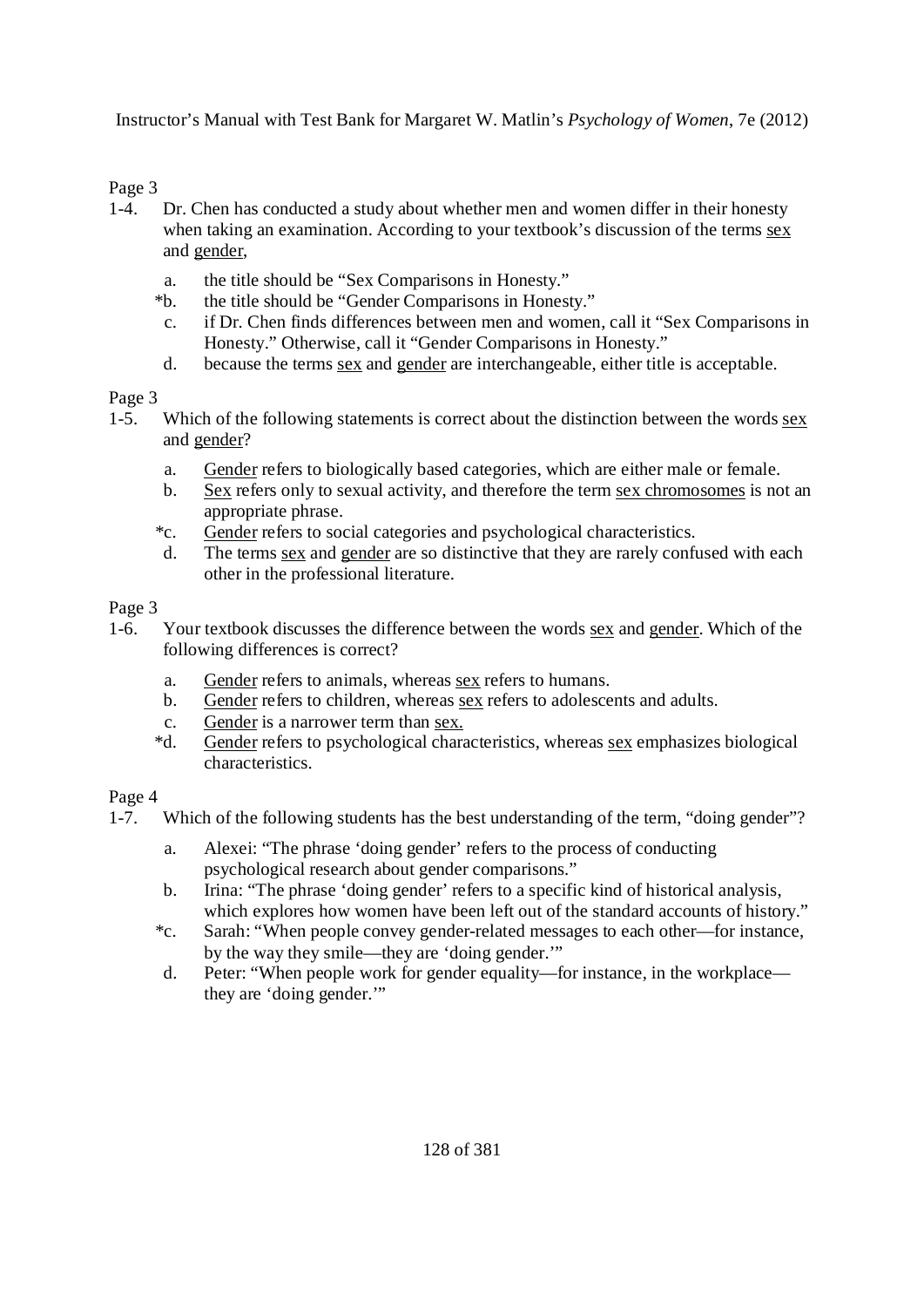Page 3

- 1-4. Dr. Chen has conducted a study about whether men and women differ in their honesty when taking an examination. According to your textbook's discussion of the terms sex and gender,
	- a. the title should be "Sex Comparisons in Honesty."
	- \*b. the title should be "Gender Comparisons in Honesty."
	- c. if Dr. Chen finds differences between men and women, call it "Sex Comparisons in Honesty." Otherwise, call it "Gender Comparisons in Honesty."
	- d. because the terms sex and gender are interchangeable, either title is acceptable.

Page 3

- 1-5. Which of the following statements is correct about the distinction between the words sex and gender?
	- a. Gender refers to biologically based categories, which are either male or female.
	- b. Sex refers only to sexual activity, and therefore the term sex chromosomes is not an appropriate phrase.
	- \*c. Gender refers to social categories and psychological characteristics.
	- d. The terms sex and gender are so distinctive that they are rarely confused with each other in the professional literature.

## Page 3

- 1-6. Your textbook discusses the difference between the words sex and gender. Which of the following differences is correct?
	- a. Gender refers to animals, whereas sex refers to humans.
	- b. Gender refers to children, whereas sex refers to adolescents and adults.
	- c. Gender is a narrower term than sex.
	- \*d. Gender refers to psychological characteristics, whereas sex emphasizes biological characteristics.

- 1-7. Which of the following students has the best understanding of the term, "doing gender"?
	- a. Alexei: "The phrase 'doing gender' refers to the process of conducting psychological research about gender comparisons."
	- b. Irina: "The phrase 'doing gender' refers to a specific kind of historical analysis, which explores how women have been left out of the standard accounts of history."
	- \*c. Sarah: "When people convey gender-related messages to each other—for instance, by the way they smile—they are 'doing gender.'"
	- d. Peter: "When people work for gender equality—for instance, in the workplace they are 'doing gender.'"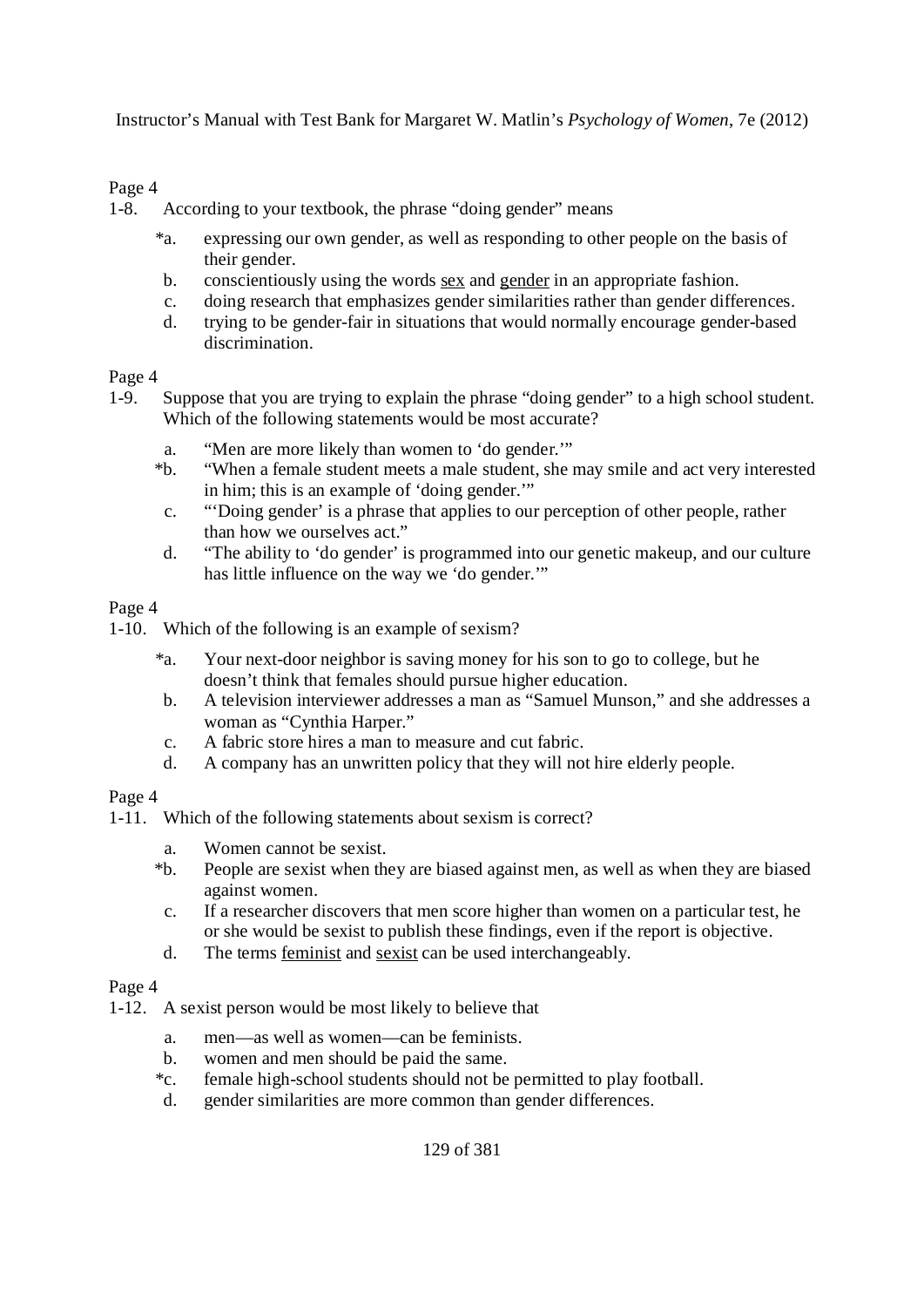#### Page 4

1-8. According to your textbook, the phrase "doing gender" means

- \*a. expressing our own gender, as well as responding to other people on the basis of their gender.
- b. conscientiously using the words sex and gender in an appropriate fashion.
- c. doing research that emphasizes gender similarities rather than gender differences.
- d. trying to be gender-fair in situations that would normally encourage gender-based discrimination.

#### Page 4

- 1-9. Suppose that you are trying to explain the phrase "doing gender" to a high school student. Which of the following statements would be most accurate?
	- a. "Men are more likely than women to 'do gender.'"
	- \*b. "When a female student meets a male student, she may smile and act very interested in him; this is an example of 'doing gender.'"
	- c. "'Doing gender' is a phrase that applies to our perception of other people, rather than how we ourselves act."
	- d. "The ability to 'do gender' is programmed into our genetic makeup, and our culture has little influence on the way we 'do gender.'"

#### Page 4

1-10. Which of the following is an example of sexism?

- \*a. Your next-door neighbor is saving money for his son to go to college, but he doesn't think that females should pursue higher education.
- b. A television interviewer addresses a man as "Samuel Munson," and she addresses a woman as "Cynthia Harper."
- c. A fabric store hires a man to measure and cut fabric.
- d. A company has an unwritten policy that they will not hire elderly people.

#### Page 4

- 1-11. Which of the following statements about sexism is correct?
	- a. Women cannot be sexist.
	- \*b. People are sexist when they are biased against men, as well as when they are biased against women.
	- c. If a researcher discovers that men score higher than women on a particular test, he or she would be sexist to publish these findings, even if the report is objective.
	- d. The terms feminist and sexist can be used interchangeably.

- 1-12. A sexist person would be most likely to believe that
	- a. men—as well as women—can be feminists.
	- b. women and men should be paid the same.
	- \*c. female high-school students should not be permitted to play football.
	- d. gender similarities are more common than gender differences.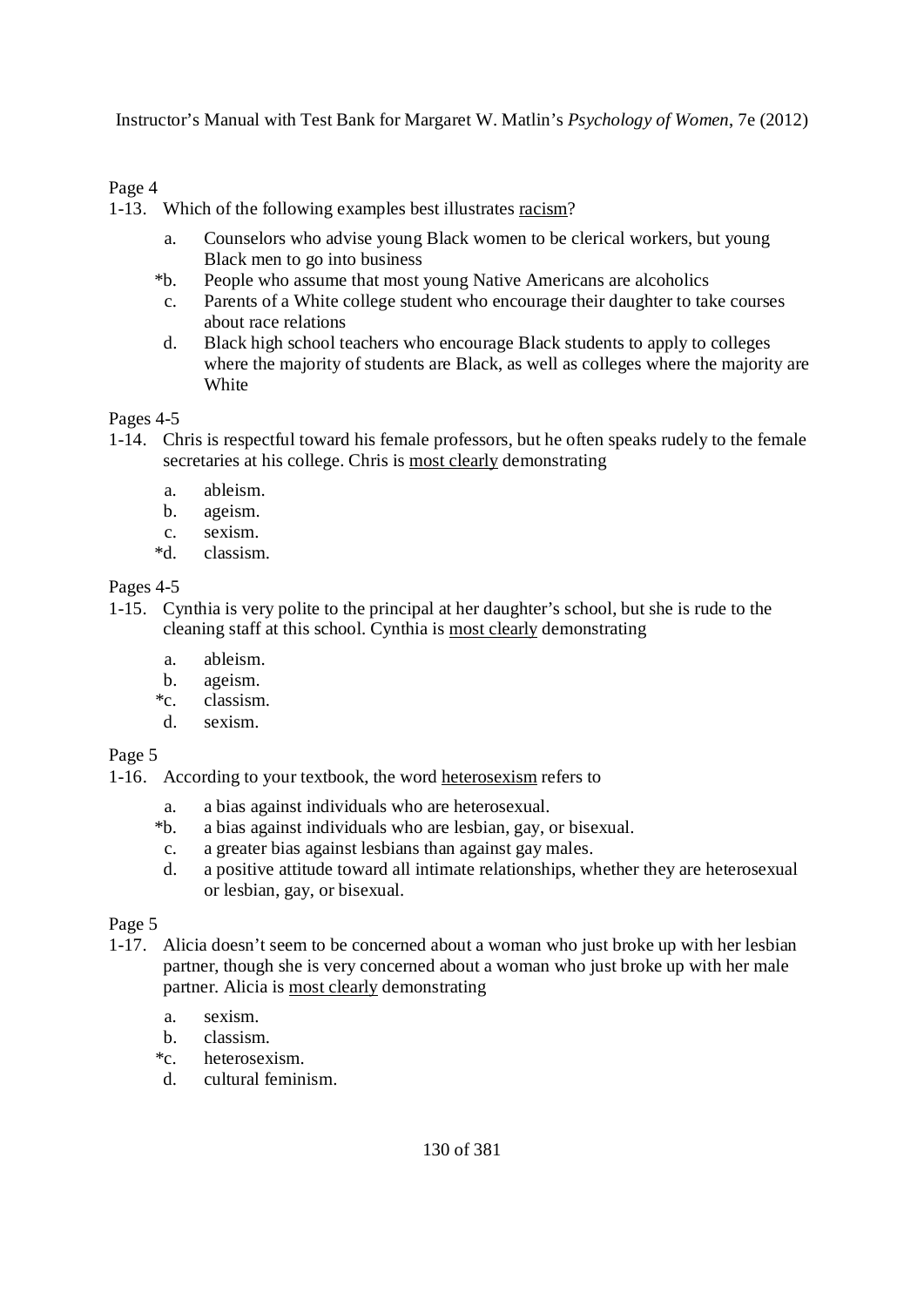#### Page 4

1-13. Which of the following examples best illustrates racism?

- a. Counselors who advise young Black women to be clerical workers, but young Black men to go into business
- \*b. People who assume that most young Native Americans are alcoholics
- c. Parents of a White college student who encourage their daughter to take courses about race relations
- d. Black high school teachers who encourage Black students to apply to colleges where the majority of students are Black, as well as colleges where the majority are White

Pages 4-5

- 1-14. Chris is respectful toward his female professors, but he often speaks rudely to the female secretaries at his college. Chris is most clearly demonstrating
	- a. ableism.
	- b. ageism.
	- c. sexism.
	- \*d. classism.

Pages 4-5

- 1-15. Cynthia is very polite to the principal at her daughter's school, but she is rude to the cleaning staff at this school. Cynthia is most clearly demonstrating
	- a. ableism.
	- b. ageism.
	- \*c. classism.
	- d. sexism.

Page 5

- 1-16. According to your textbook, the word heterosexism refers to
	-
	- a. a bias against individuals who are heterosexual.<br>\*b. a bias against individuals who are lesbian, gay, or a bias against individuals who are lesbian, gay, or bisexual.
	- c. a greater bias against lesbians than against gay males.
	- d. a positive attitude toward all intimate relationships, whether they are heterosexual or lesbian, gay, or bisexual.

- 1-17. Alicia doesn't seem to be concerned about a woman who just broke up with her lesbian partner, though she is very concerned about a woman who just broke up with her male partner. Alicia is most clearly demonstrating
	- a. sexism.
	- b. classism.
	- \*c. heterosexism.
	- d. cultural feminism.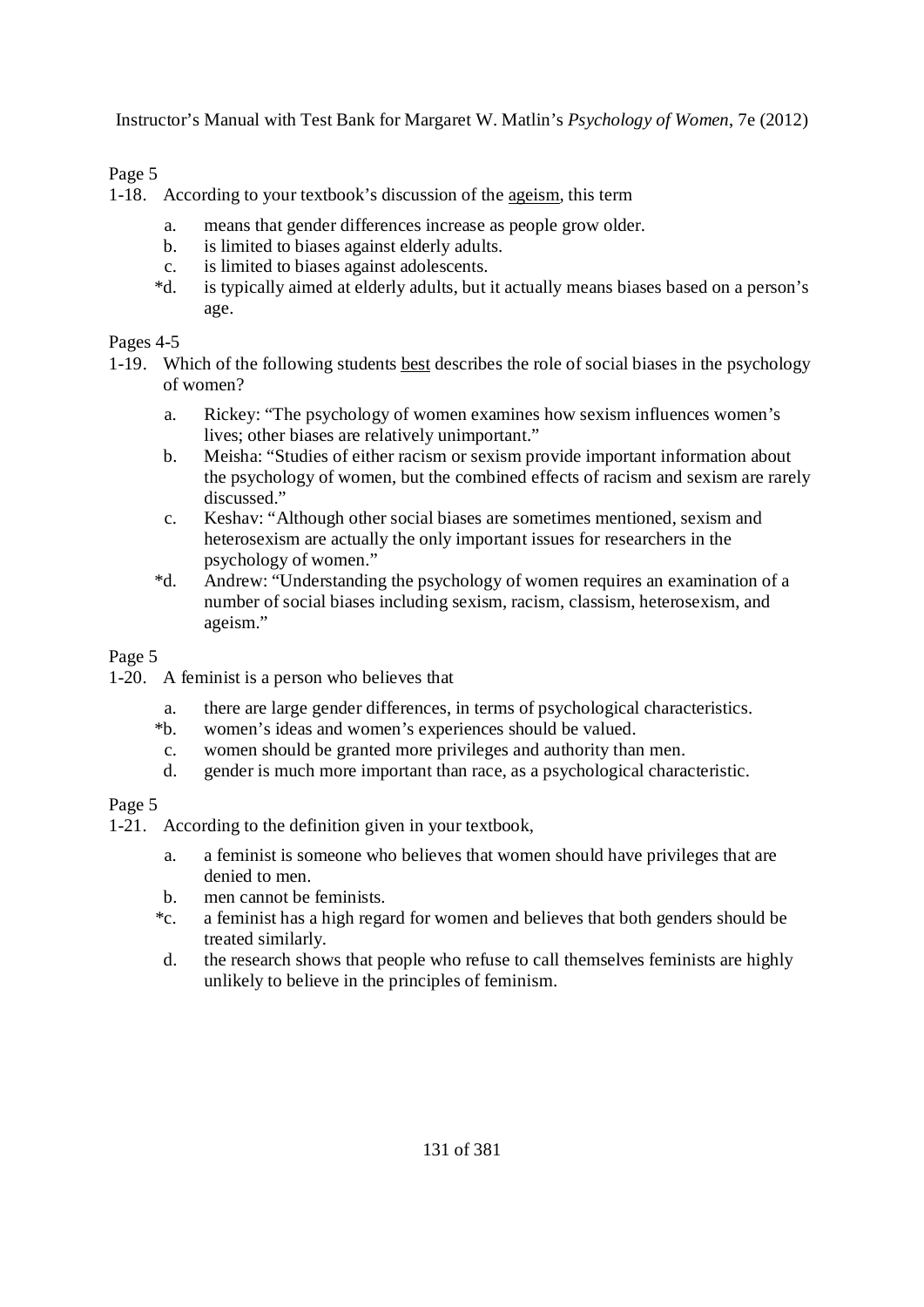#### Page 5

1-18. According to your textbook's discussion of the ageism, this term

- a. means that gender differences increase as people grow older.
- b. is limited to biases against elderly adults.
- c. is limited to biases against adolescents.
- \*d. is typically aimed at elderly adults, but it actually means biases based on a person's age.

#### Pages 4-5

- 1-19. Which of the following students best describes the role of social biases in the psychology of women?
	- a. Rickey: "The psychology of women examines how sexism influences women's lives; other biases are relatively unimportant."
	- b. Meisha: "Studies of either racism or sexism provide important information about the psychology of women, but the combined effects of racism and sexism are rarely discussed."
	- c. Keshav: "Although other social biases are sometimes mentioned, sexism and heterosexism are actually the only important issues for researchers in the psychology of women."
	- \*d. Andrew: "Understanding the psychology of women requires an examination of a number of social biases including sexism, racism, classism, heterosexism, and ageism."

#### Page 5

- 1-20. A feminist is a person who believes that
	- a. there are large gender differences, in terms of psychological characteristics.
	- \*b. women's ideas and women's experiences should be valued.
	- c. women should be granted more privileges and authority than men.
	- d. gender is much more important than race, as a psychological characteristic.

- 1-21. According to the definition given in your textbook,
	- a. a feminist is someone who believes that women should have privileges that are denied to men.
	- b. men cannot be feminists.
	- \*c. a feminist has a high regard for women and believes that both genders should be treated similarly.
	- d. the research shows that people who refuse to call themselves feminists are highly unlikely to believe in the principles of feminism.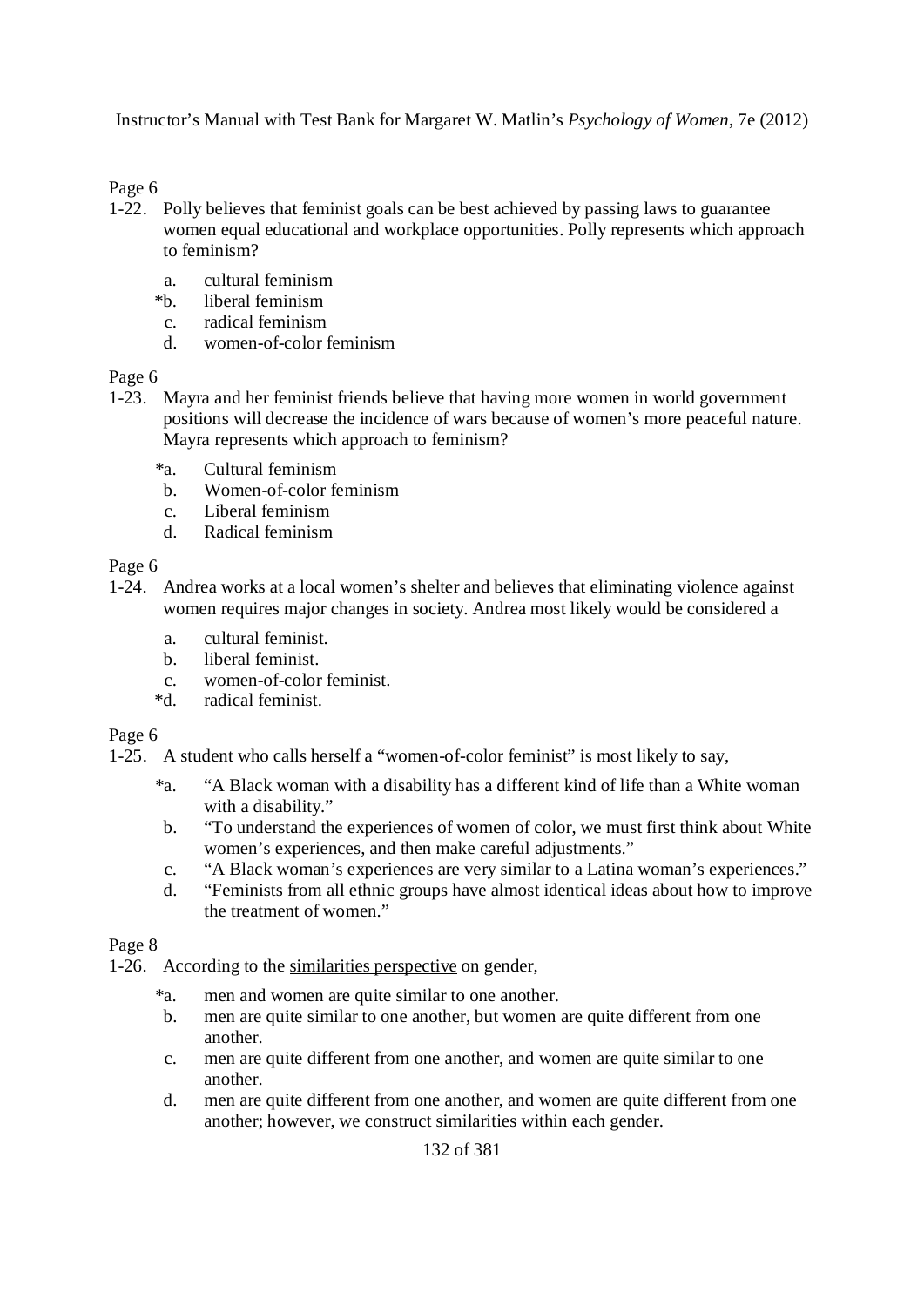Page 6

- 1-22. Polly believes that feminist goals can be best achieved by passing laws to guarantee women equal educational and workplace opportunities. Polly represents which approach to feminism?
	- a. cultural feminism
	- \*b. liberal feminism
	- c. radical feminism
	- d. women-of-color feminism

Page 6

- 1-23. Mayra and her feminist friends believe that having more women in world government positions will decrease the incidence of wars because of women's more peaceful nature. Mayra represents which approach to feminism?
	- \*a. Cultural feminism
	- b. Women-of-color feminism
	- c. Liberal feminism
	- d. Radical feminism

Page 6

- 1-24. Andrea works at a local women's shelter and believes that eliminating violence against women requires major changes in society. Andrea most likely would be considered a
	- a. cultural feminist.
	- b. liberal feminist.
	- c. women-of-color feminist.<br>\*d. radical feminist.
	- radical feminist.

Page 6

1-25. A student who calls herself a "women-of-color feminist" is most likely to say,

- \*a. "A Black woman with a disability has a different kind of life than a White woman with a disability."
- b. "To understand the experiences of women of color, we must first think about White women's experiences, and then make careful adjustments."
- c. "A Black woman's experiences are very similar to a Latina woman's experiences."
- d. "Feminists from all ethnic groups have almost identical ideas about how to improve the treatment of women."

#### Page 8

1-26. According to the similarities perspective on gender,

- \*a. men and women are quite similar to one another.
- b. men are quite similar to one another, but women are quite different from one another.
- c. men are quite different from one another, and women are quite similar to one another.
- d. men are quite different from one another, and women are quite different from one another; however, we construct similarities within each gender.

132 of 381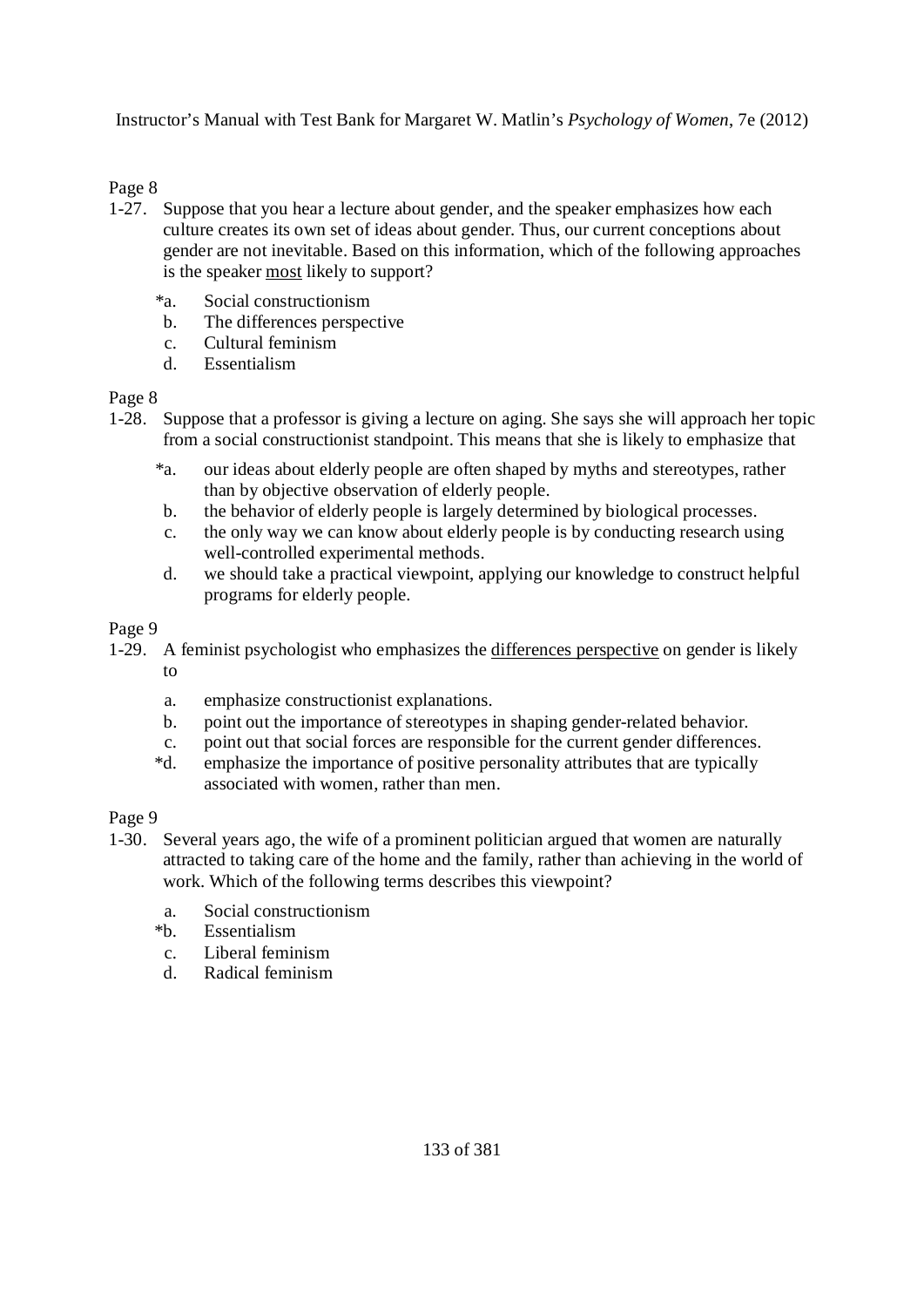#### Page 8

- 1-27. Suppose that you hear a lecture about gender, and the speaker emphasizes how each culture creates its own set of ideas about gender. Thus, our current conceptions about gender are not inevitable. Based on this information, which of the following approaches is the speaker most likely to support?
	- \*a. Social constructionism
	- b. The differences perspective
	- c. Cultural feminism
	- d. Essentialism

#### Page 8

- 1-28. Suppose that a professor is giving a lecture on aging. She says she will approach her topic from a social constructionist standpoint. This means that she is likely to emphasize that
	- \*a. our ideas about elderly people are often shaped by myths and stereotypes, rather than by objective observation of elderly people.
	- b. the behavior of elderly people is largely determined by biological processes.
	- c. the only way we can know about elderly people is by conducting research using well-controlled experimental methods.
	- d. we should take a practical viewpoint, applying our knowledge to construct helpful programs for elderly people.

#### Page 9

- 1-29. A feminist psychologist who emphasizes the differences perspective on gender is likely to
	- a. emphasize constructionist explanations.
	- b. point out the importance of stereotypes in shaping gender-related behavior.
	- c. point out that social forces are responsible for the current gender differences.
	- \*d. emphasize the importance of positive personality attributes that are typically associated with women, rather than men.

- 1-30. Several years ago, the wife of a prominent politician argued that women are naturally attracted to taking care of the home and the family, rather than achieving in the world of work. Which of the following terms describes this viewpoint?
	- a. Social constructionism
	- \*b. Essentialism
	- c. Liberal feminism
	- d. Radical feminism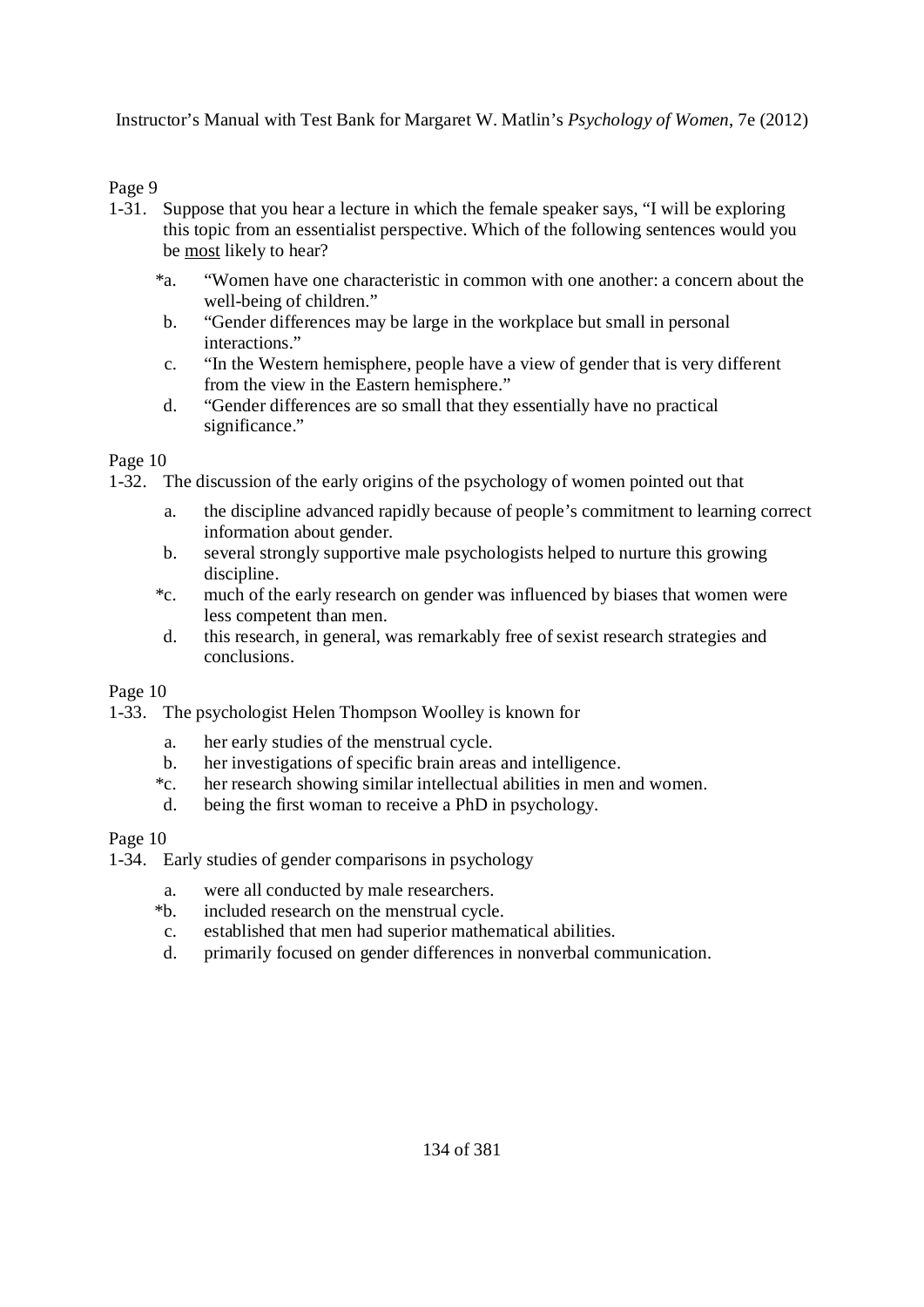#### Page 9

- 1-31. Suppose that you hear a lecture in which the female speaker says, "I will be exploring this topic from an essentialist perspective. Which of the following sentences would you be most likely to hear?
	- \*a. "Women have one characteristic in common with one another: a concern about the well-being of children."
	- b. "Gender differences may be large in the workplace but small in personal interactions."
	- c. "In the Western hemisphere, people have a view of gender that is very different from the view in the Eastern hemisphere."
	- d. "Gender differences are so small that they essentially have no practical significance."

#### Page 10

1-32. The discussion of the early origins of the psychology of women pointed out that

- a. the discipline advanced rapidly because of people's commitment to learning correct information about gender.
- b. several strongly supportive male psychologists helped to nurture this growing discipline.
- \*c. much of the early research on gender was influenced by biases that women were less competent than men.
- d. this research, in general, was remarkably free of sexist research strategies and conclusions.

#### Page 10

- 1-33. The psychologist Helen Thompson Woolley is known for
	- a. her early studies of the menstrual cycle.
	- b. her investigations of specific brain areas and intelligence.
	- \*c. her research showing similar intellectual abilities in men and women.
	- d. being the first woman to receive a PhD in psychology.

- 1-34. Early studies of gender comparisons in psychology
	- a. were all conducted by male researchers.
	- \*b. included research on the menstrual cycle.
	- c. established that men had superior mathematical abilities.
	- d. primarily focused on gender differences in nonverbal communication.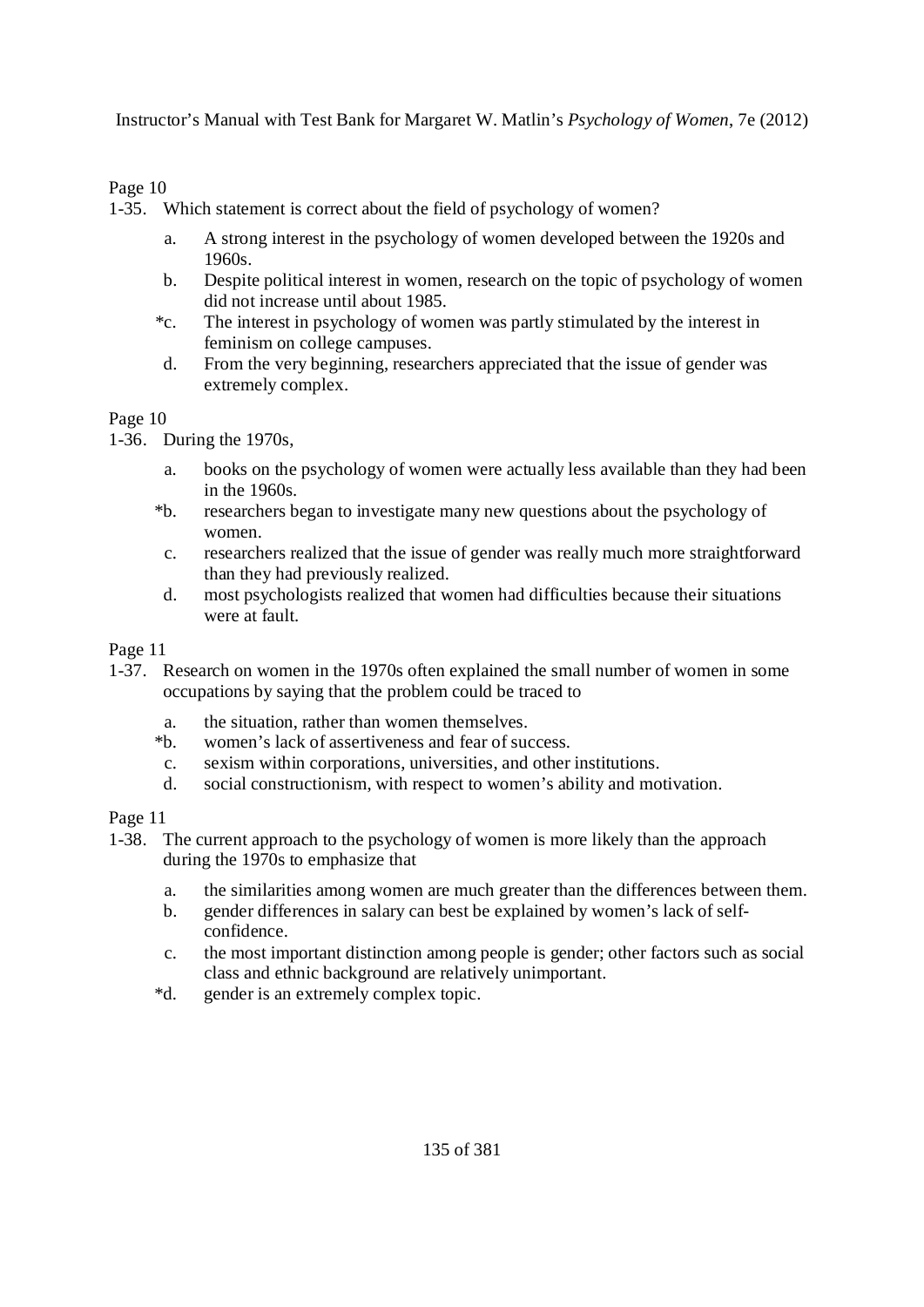## Page 10

1-35. Which statement is correct about the field of psychology of women?

- a. A strong interest in the psychology of women developed between the 1920s and 1960s.
- b. Despite political interest in women, research on the topic of psychology of women did not increase until about 1985.
- \*c. The interest in psychology of women was partly stimulated by the interest in feminism on college campuses.
- d. From the very beginning, researchers appreciated that the issue of gender was extremely complex.

Page 10

1-36. During the 1970s,

- a. books on the psychology of women were actually less available than they had been in the 1960s.
- \*b. researchers began to investigate many new questions about the psychology of women.
- c. researchers realized that the issue of gender was really much more straightforward than they had previously realized.
- d. most psychologists realized that women had difficulties because their situations were at fault.

Page 11

- 1-37. Research on women in the 1970s often explained the small number of women in some occupations by saying that the problem could be traced to
	- a. the situation, rather than women themselves.
	- \*b. women's lack of assertiveness and fear of success.
	- c. sexism within corporations, universities, and other institutions.
	- d. social constructionism, with respect to women's ability and motivation.

- 1-38. The current approach to the psychology of women is more likely than the approach during the 1970s to emphasize that
	- a. the similarities among women are much greater than the differences between them.
	- b. gender differences in salary can best be explained by women's lack of selfconfidence.
	- c. the most important distinction among people is gender; other factors such as social class and ethnic background are relatively unimportant.
	- \*d. gender is an extremely complex topic.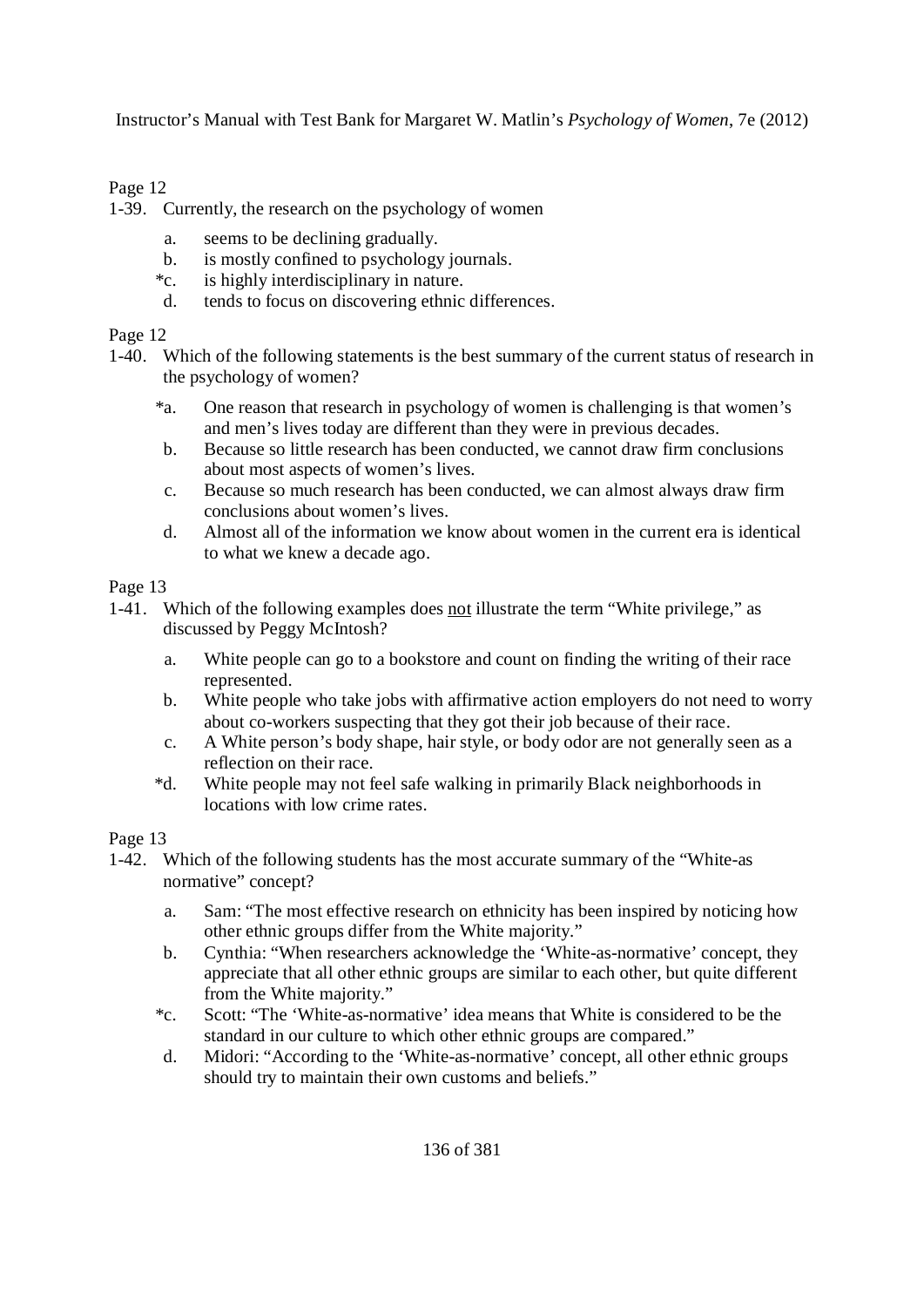## Page 12

1-39. Currently, the research on the psychology of women

- a. seems to be declining gradually.
- b. is mostly confined to psychology journals.
- \*c. is highly interdisciplinary in nature.
- d. tends to focus on discovering ethnic differences.

#### Page 12

1-40. Which of the following statements is the best summary of the current status of research in the psychology of women?

- \*a. One reason that research in psychology of women is challenging is that women's and men's lives today are different than they were in previous decades.
- b. Because so little research has been conducted, we cannot draw firm conclusions about most aspects of women's lives.
- c. Because so much research has been conducted, we can almost always draw firm conclusions about women's lives.
- d. Almost all of the information we know about women in the current era is identical to what we knew a decade ago.

Page 13

- 1-41. Which of the following examples does not illustrate the term "White privilege," as discussed by Peggy McIntosh?
	- a. White people can go to a bookstore and count on finding the writing of their race represented.
	- b. White people who take jobs with affirmative action employers do not need to worry about co-workers suspecting that they got their job because of their race.
	- c. A White person's body shape, hair style, or body odor are not generally seen as a reflection on their race.
	- \*d. White people may not feel safe walking in primarily Black neighborhoods in locations with low crime rates.

- 1-42. Which of the following students has the most accurate summary of the "White-as normative" concept?
	- a. Sam: "The most effective research on ethnicity has been inspired by noticing how other ethnic groups differ from the White majority."
	- b. Cynthia: "When researchers acknowledge the 'White-as-normative' concept, they appreciate that all other ethnic groups are similar to each other, but quite different from the White majority."
	- \*c. Scott: "The 'White-as-normative' idea means that White is considered to be the standard in our culture to which other ethnic groups are compared."
	- d. Midori: "According to the 'White-as-normative' concept, all other ethnic groups should try to maintain their own customs and beliefs."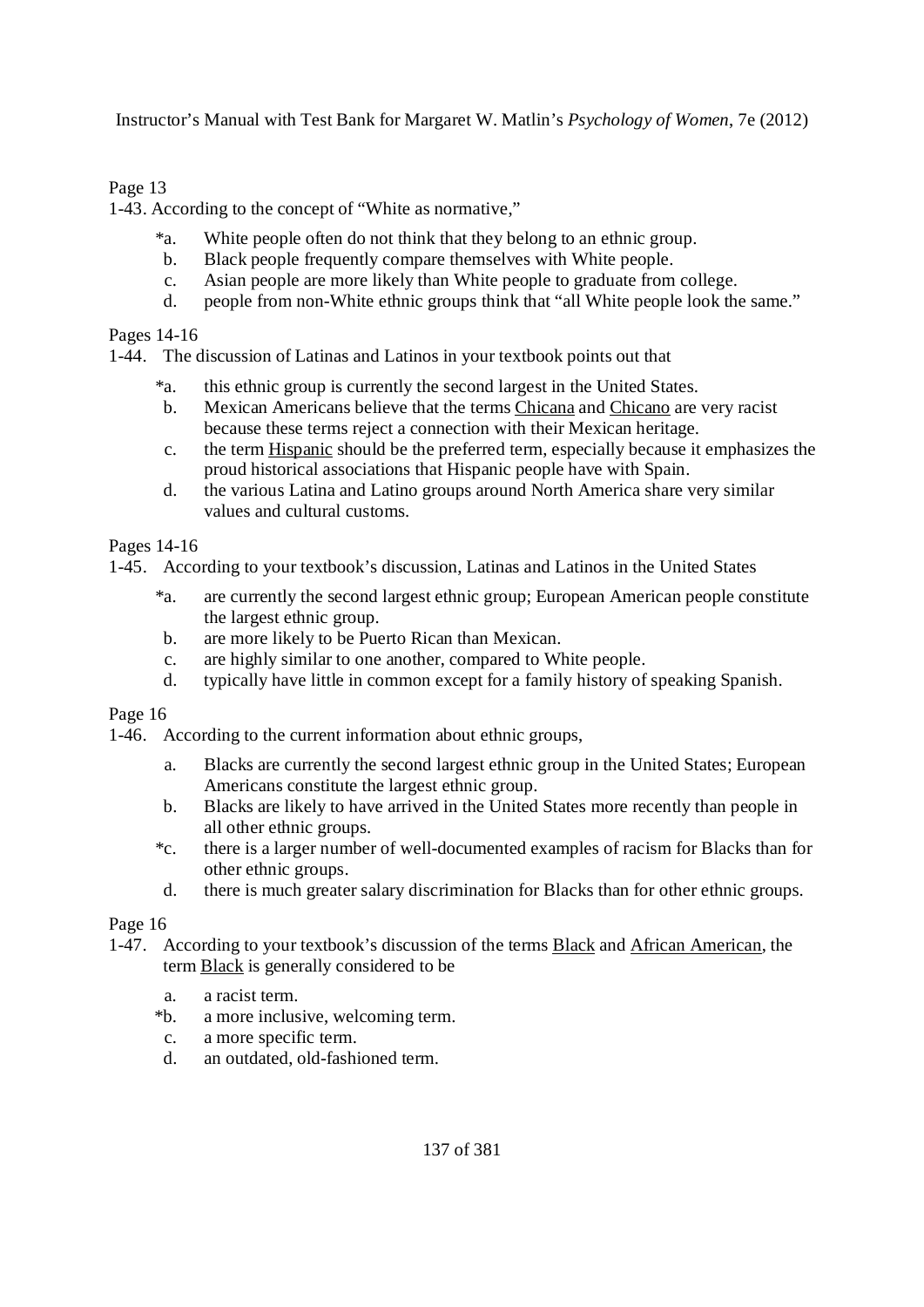#### Page 13

1-43. According to the concept of "White as normative,"

- \*a. White people often do not think that they belong to an ethnic group.
- b. Black people frequently compare themselves with White people.
- c. Asian people are more likely than White people to graduate from college.
- d. people from non-White ethnic groups think that "all White people look the same."

Pages 14-16

1-44. The discussion of Latinas and Latinos in your textbook points out that

- \*a. this ethnic group is currently the second largest in the United States.
- b. Mexican Americans believe that the terms Chicana and Chicano are very racist because these terms reject a connection with their Mexican heritage.
- c. the term Hispanic should be the preferred term, especially because it emphasizes the proud historical associations that Hispanic people have with Spain.
- d. the various Latina and Latino groups around North America share very similar values and cultural customs.

Pages 14-16

1-45. According to your textbook's discussion, Latinas and Latinos in the United States

- \*a. are currently the second largest ethnic group; European American people constitute the largest ethnic group.
- b. are more likely to be Puerto Rican than Mexican.
- c. are highly similar to one another, compared to White people.
- d. typically have little in common except for a family history of speaking Spanish.

Page 16

1-46. According to the current information about ethnic groups,

- a. Blacks are currently the second largest ethnic group in the United States; European Americans constitute the largest ethnic group.
- b. Blacks are likely to have arrived in the United States more recently than people in all other ethnic groups.
- \*c. there is a larger number of well-documented examples of racism for Blacks than for other ethnic groups.
- d. there is much greater salary discrimination for Blacks than for other ethnic groups.

- 1-47. According to your textbook's discussion of the terms Black and African American, the term Black is generally considered to be
	- a. a racist term.
	- \*b. a more inclusive, welcoming term.
	- c. a more specific term.
	- d. an outdated, old-fashioned term.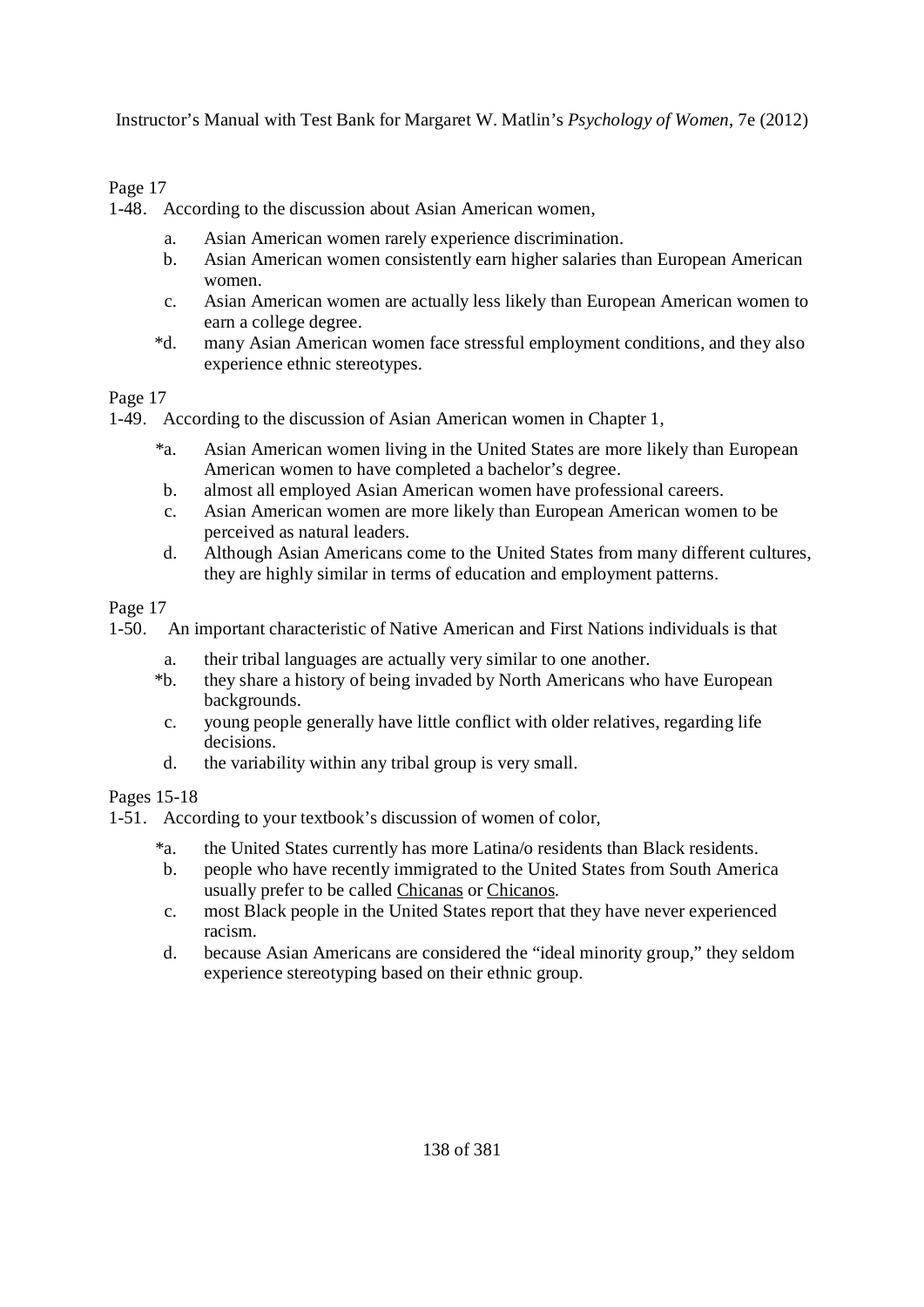## Page 17

1-48. According to the discussion about Asian American women,

- a. Asian American women rarely experience discrimination.
- b. Asian American women consistently earn higher salaries than European American women.
- c. Asian American women are actually less likely than European American women to earn a college degree.
- \*d. many Asian American women face stressful employment conditions, and they also experience ethnic stereotypes.

#### Page 17

1-49. According to the discussion of Asian American women in Chapter 1,

- \*a. Asian American women living in the United States are more likely than European American women to have completed a bachelor's degree.
- b. almost all employed Asian American women have professional careers.
- c. Asian American women are more likely than European American women to be perceived as natural leaders.
- d. Although Asian Americans come to the United States from many different cultures, they are highly similar in terms of education and employment patterns.

Page 17

1-50. An important characteristic of Native American and First Nations individuals is that

- a. their tribal languages are actually very similar to one another.
- \*b. they share a history of being invaded by North Americans who have European backgrounds.
- c. young people generally have little conflict with older relatives, regarding life decisions.
- d. the variability within any tribal group is very small.

#### Pages 15-18

1-51. According to your textbook's discussion of women of color,

- \*a. the United States currently has more Latina/o residents than Black residents.
- b. people who have recently immigrated to the United States from South America usually prefer to be called Chicanas or Chicanos*.*
- c. most Black people in the United States report that they have never experienced racism.
- d. because Asian Americans are considered the "ideal minority group," they seldom experience stereotyping based on their ethnic group.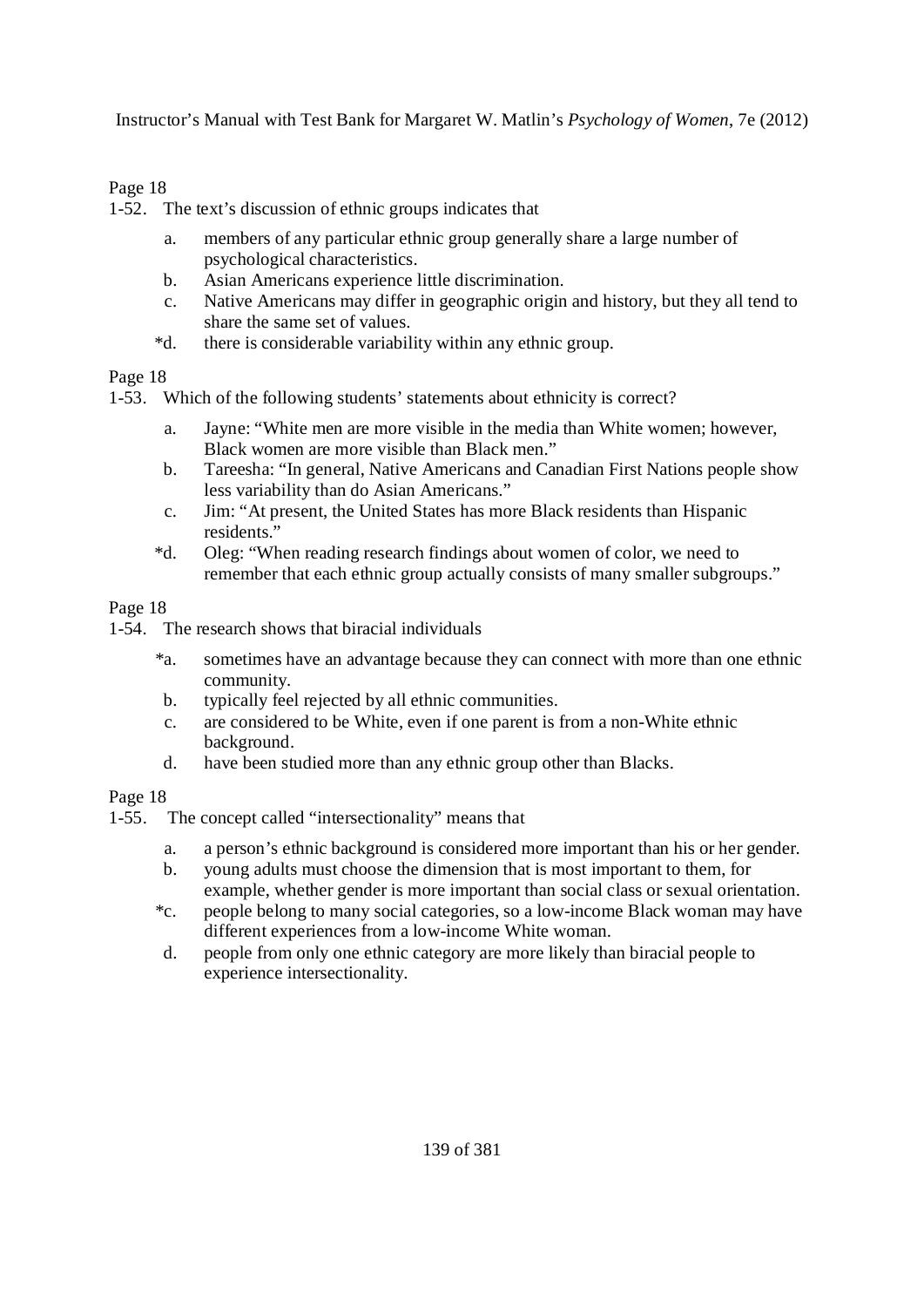#### Page 18

1-52. The text's discussion of ethnic groups indicates that

- a. members of any particular ethnic group generally share a large number of psychological characteristics.
- b. Asian Americans experience little discrimination.
- c. Native Americans may differ in geographic origin and history, but they all tend to share the same set of values.
- \*d. there is considerable variability within any ethnic group.

#### Page 18

1-53. Which of the following students' statements about ethnicity is correct?

- a. Jayne: "White men are more visible in the media than White women; however, Black women are more visible than Black men."
- b. Tareesha: "In general, Native Americans and Canadian First Nations people show less variability than do Asian Americans."
- c. Jim: "At present, the United States has more Black residents than Hispanic residents."
- \*d. Oleg: "When reading research findings about women of color, we need to remember that each ethnic group actually consists of many smaller subgroups."

#### Page 18

- 1-54. The research shows that biracial individuals
	- \*a. sometimes have an advantage because they can connect with more than one ethnic community.
	- b. typically feel rejected by all ethnic communities.
	- c. are considered to be White, even if one parent is from a non-White ethnic background.
	- d. have been studied more than any ethnic group other than Blacks.

- 1-55. The concept called "intersectionality" means that
	- a. a person's ethnic background is considered more important than his or her gender.
	- b. young adults must choose the dimension that is most important to them, for example, whether gender is more important than social class or sexual orientation.
	- \*c. people belong to many social categories, so a low-income Black woman may have different experiences from a low-income White woman.
	- d. people from only one ethnic category are more likely than biracial people to experience intersectionality.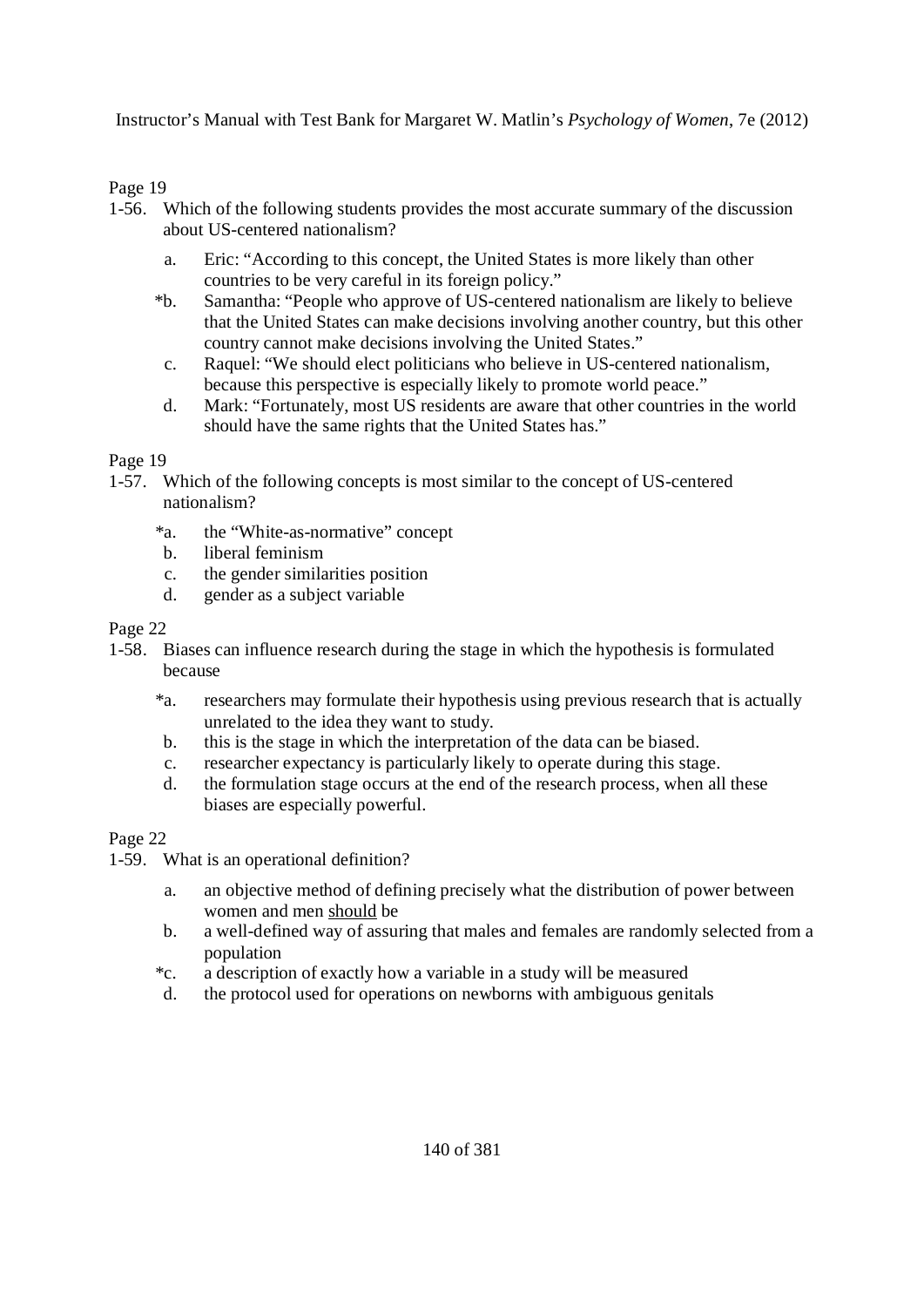Page 19

- 1-56. Which of the following students provides the most accurate summary of the discussion about US-centered nationalism?
	- a. Eric: "According to this concept, the United States is more likely than other countries to be very careful in its foreign policy."
	- \*b. Samantha: "People who approve of US-centered nationalism are likely to believe that the United States can make decisions involving another country, but this other country cannot make decisions involving the United States."
	- c. Raquel: "We should elect politicians who believe in US-centered nationalism, because this perspective is especially likely to promote world peace."
	- d. Mark: "Fortunately, most US residents are aware that other countries in the world should have the same rights that the United States has."

Page 19

- 1-57. Which of the following concepts is most similar to the concept of US-centered nationalism?
	- \*a. the "White-as-normative" concept
	- b. liberal feminism
	- c. the gender similarities position
	- d. gender as a subject variable

Page 22

- 1-58. Biases can influence research during the stage in which the hypothesis is formulated because
	- \*a. researchers may formulate their hypothesis using previous research that is actually unrelated to the idea they want to study.
	- b. this is the stage in which the interpretation of the data can be biased.
	- c. researcher expectancy is particularly likely to operate during this stage.
	- d. the formulation stage occurs at the end of the research process, when all these biases are especially powerful.

- 1-59. What is an operational definition?
	- a. an objective method of defining precisely what the distribution of power between women and men should be
	- b. a well-defined way of assuring that males and females are randomly selected from a population
	- \*c. a description of exactly how a variable in a study will be measured
	- d. the protocol used for operations on newborns with ambiguous genitals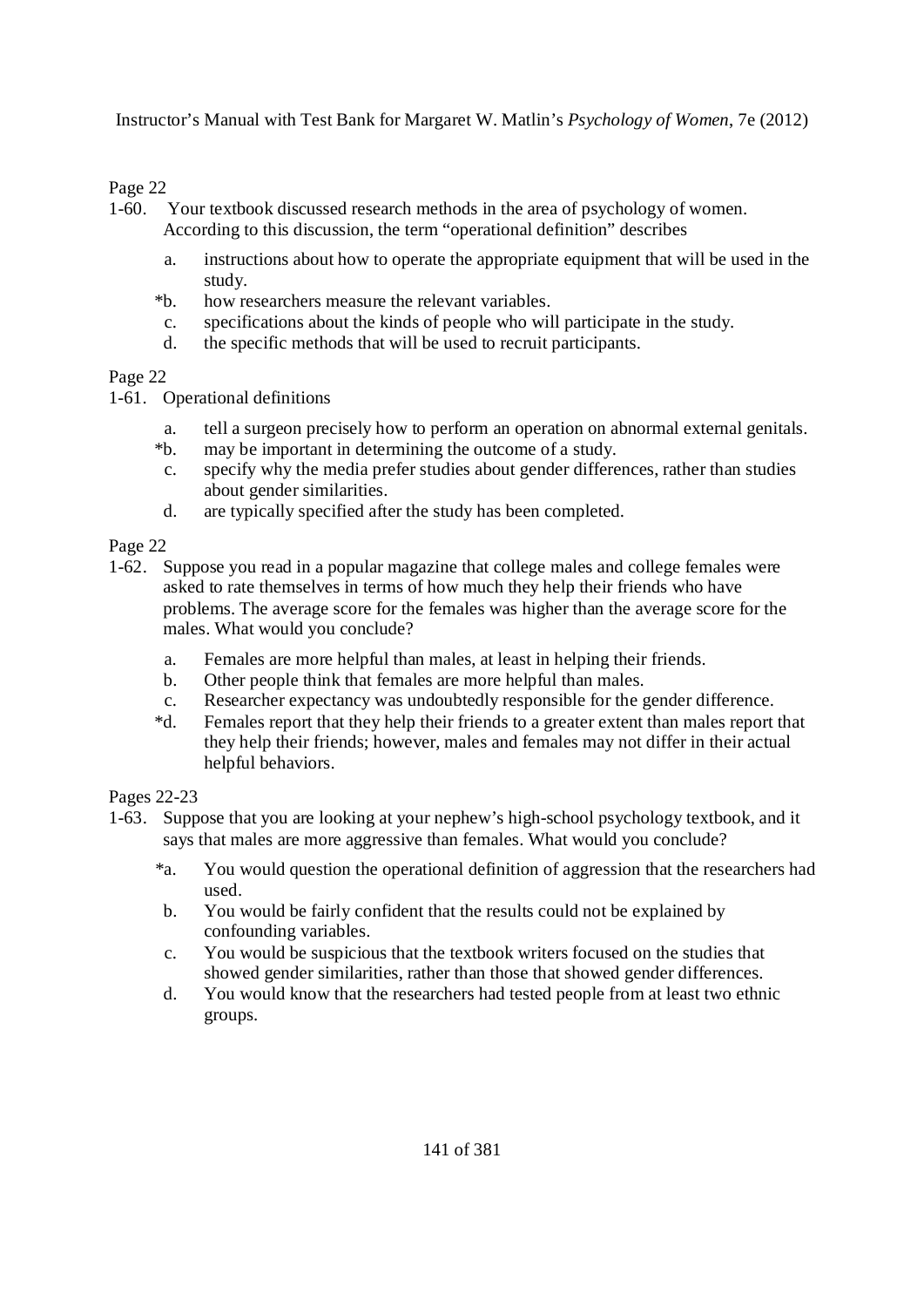#### Page 22

- 1-60. Your textbook discussed research methods in the area of psychology of women.
	- According to this discussion, the term "operational definition" describes
	- a. instructions about how to operate the appropriate equipment that will be used in the study.
	- \*b. how researchers measure the relevant variables.
	- c. specifications about the kinds of people who will participate in the study.
	- d. the specific methods that will be used to recruit participants.

#### Page 22

- 1-61. Operational definitions
	- a. tell a surgeon precisely how to perform an operation on abnormal external genitals.
	- \*b. may be important in determining the outcome of a study.
	- c. specify why the media prefer studies about gender differences, rather than studies about gender similarities.
	- d. are typically specified after the study has been completed.

#### Page 22

- 1-62. Suppose you read in a popular magazine that college males and college females were asked to rate themselves in terms of how much they help their friends who have problems. The average score for the females was higher than the average score for the males. What would you conclude?
	- a. Females are more helpful than males, at least in helping their friends.
	- b. Other people think that females are more helpful than males.
	- c. Researcher expectancy was undoubtedly responsible for the gender difference.
	- \*d. Females report that they help their friends to a greater extent than males report that they help their friends; however, males and females may not differ in their actual helpful behaviors.

Pages 22-23

- 1-63. Suppose that you are looking at your nephew's high-school psychology textbook, and it says that males are more aggressive than females. What would you conclude?
	- \*a. You would question the operational definition of aggression that the researchers had used.
	- b. You would be fairly confident that the results could not be explained by confounding variables.
	- c. You would be suspicious that the textbook writers focused on the studies that showed gender similarities, rather than those that showed gender differences.
	- d. You would know that the researchers had tested people from at least two ethnic groups.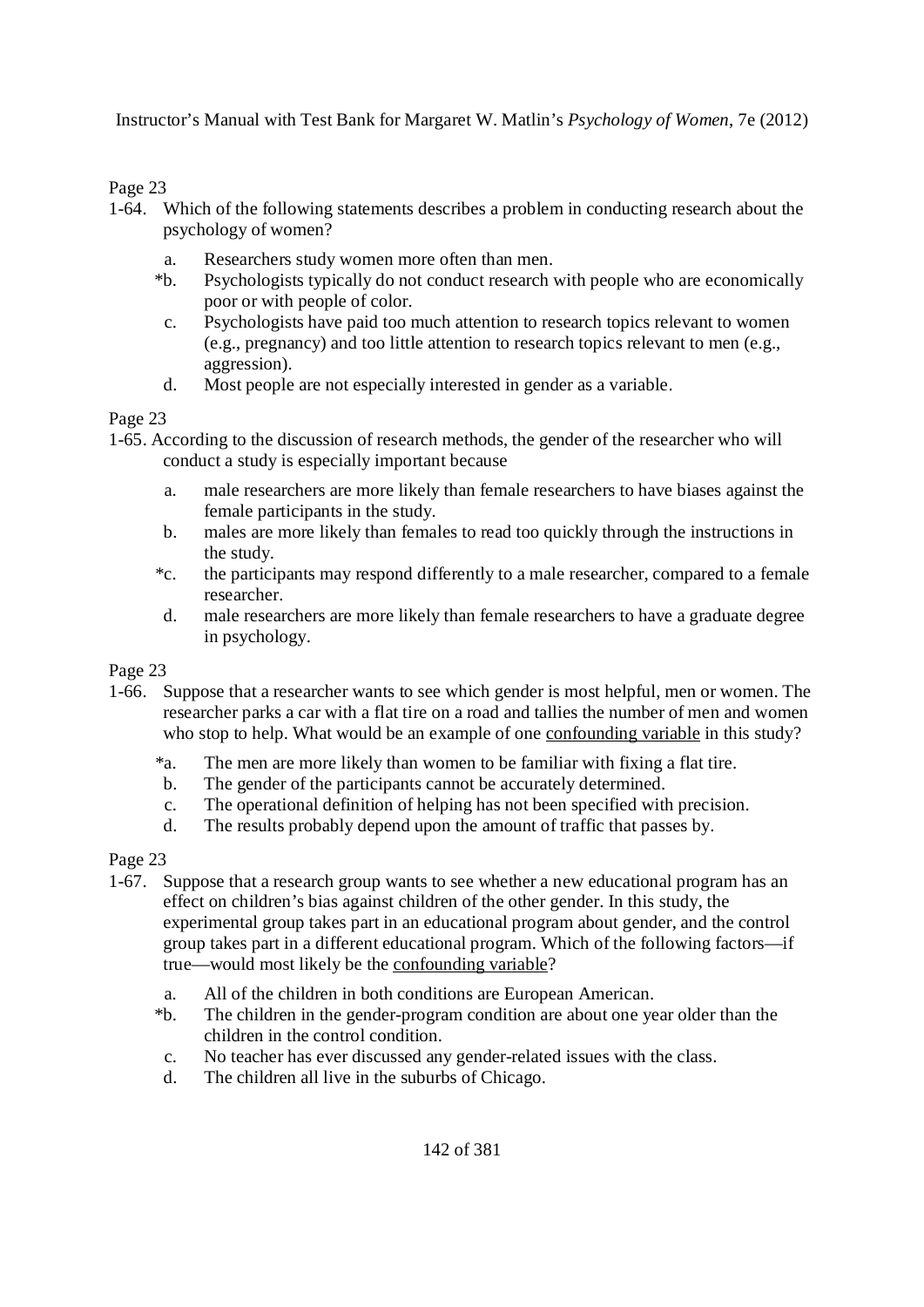Page 23

- 1-64. Which of the following statements describes a problem in conducting research about the psychology of women?
	- a. Researchers study women more often than men.
	- \*b. Psychologists typically do not conduct research with people who are economically poor or with people of color.
	- c. Psychologists have paid too much attention to research topics relevant to women (e.g., pregnancy) and too little attention to research topics relevant to men (e.g., aggression).
	- d. Most people are not especially interested in gender as a variable.

Page 23

1-65. According to the discussion of research methods, the gender of the researcher who will conduct a study is especially important because

- a. male researchers are more likely than female researchers to have biases against the female participants in the study.
- b. males are more likely than females to read too quickly through the instructions in the study.
- \*c. the participants may respond differently to a male researcher, compared to a female researcher.
- d. male researchers are more likely than female researchers to have a graduate degree in psychology.

Page 23

- 1-66. Suppose that a researcher wants to see which gender is most helpful, men or women. The researcher parks a car with a flat tire on a road and tallies the number of men and women who stop to help. What would be an example of one confounding variable in this study?
	- \*a. The men are more likely than women to be familiar with fixing a flat tire.
	- b. The gender of the participants cannot be accurately determined.
	- c. The operational definition of helping has not been specified with precision.
	- d. The results probably depend upon the amount of traffic that passes by.

- 1-67. Suppose that a research group wants to see whether a new educational program has an effect on children's bias against children of the other gender. In this study, the experimental group takes part in an educational program about gender, and the control group takes part in a different educational program. Which of the following factors—if true—would most likely be the confounding variable?
	- a. All of the children in both conditions are European American.
	- \*b. The children in the gender-program condition are about one year older than the children in the control condition.
	- c. No teacher has ever discussed any gender-related issues with the class.
	- d. The children all live in the suburbs of Chicago.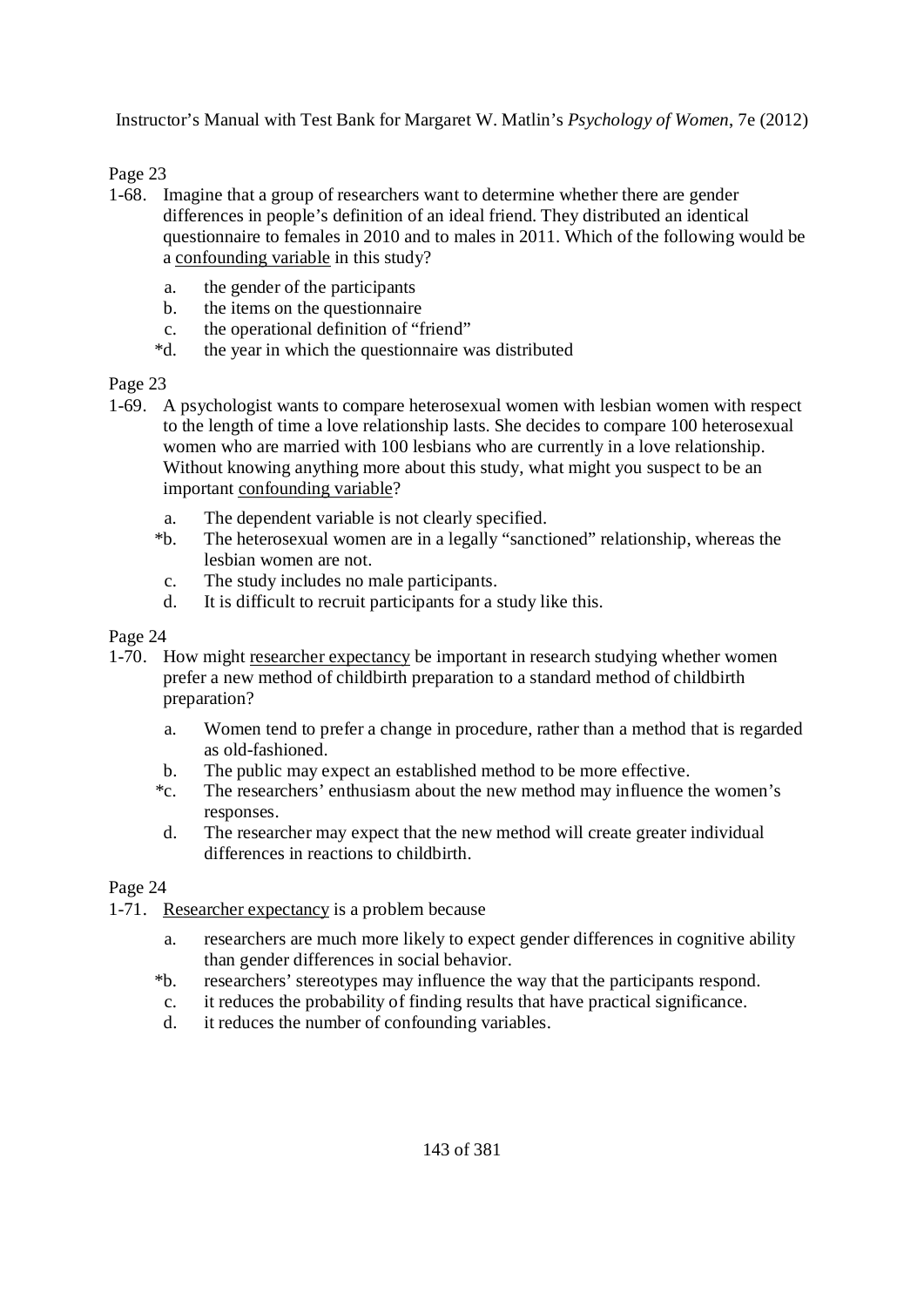## Page 23

- 1-68. Imagine that a group of researchers want to determine whether there are gender differences in people's definition of an ideal friend. They distributed an identical questionnaire to females in 2010 and to males in 2011. Which of the following would be a confounding variable in this study?
	- a. the gender of the participants
	- b. the items on the questionnaire
	- c. the operational definition of "friend"
	- \*d. the year in which the questionnaire was distributed

#### Page 23

- 1-69. A psychologist wants to compare heterosexual women with lesbian women with respect to the length of time a love relationship lasts. She decides to compare 100 heterosexual women who are married with 100 lesbians who are currently in a love relationship. Without knowing anything more about this study, what might you suspect to be an important confounding variable?
	- a. The dependent variable is not clearly specified.
	- \*b. The heterosexual women are in a legally "sanctioned" relationship, whereas the lesbian women are not.
	- c. The study includes no male participants.
	- d. It is difficult to recruit participants for a study like this.

#### Page 24

- 1-70. How might researcher expectancy be important in research studying whether women prefer a new method of childbirth preparation to a standard method of childbirth preparation?
	- a. Women tend to prefer a change in procedure, rather than a method that is regarded as old-fashioned.
	- b. The public may expect an established method to be more effective.
	- \*c. The researchers' enthusiasm about the new method may influence the women's responses.
	- d. The researcher may expect that the new method will create greater individual differences in reactions to childbirth.

- 1-71. Researcher expectancy is a problem because
	- a. researchers are much more likely to expect gender differences in cognitive ability than gender differences in social behavior.
	- \*b. researchers' stereotypes may influence the way that the participants respond.
	- c. it reduces the probability of finding results that have practical significance.
	- d. it reduces the number of confounding variables.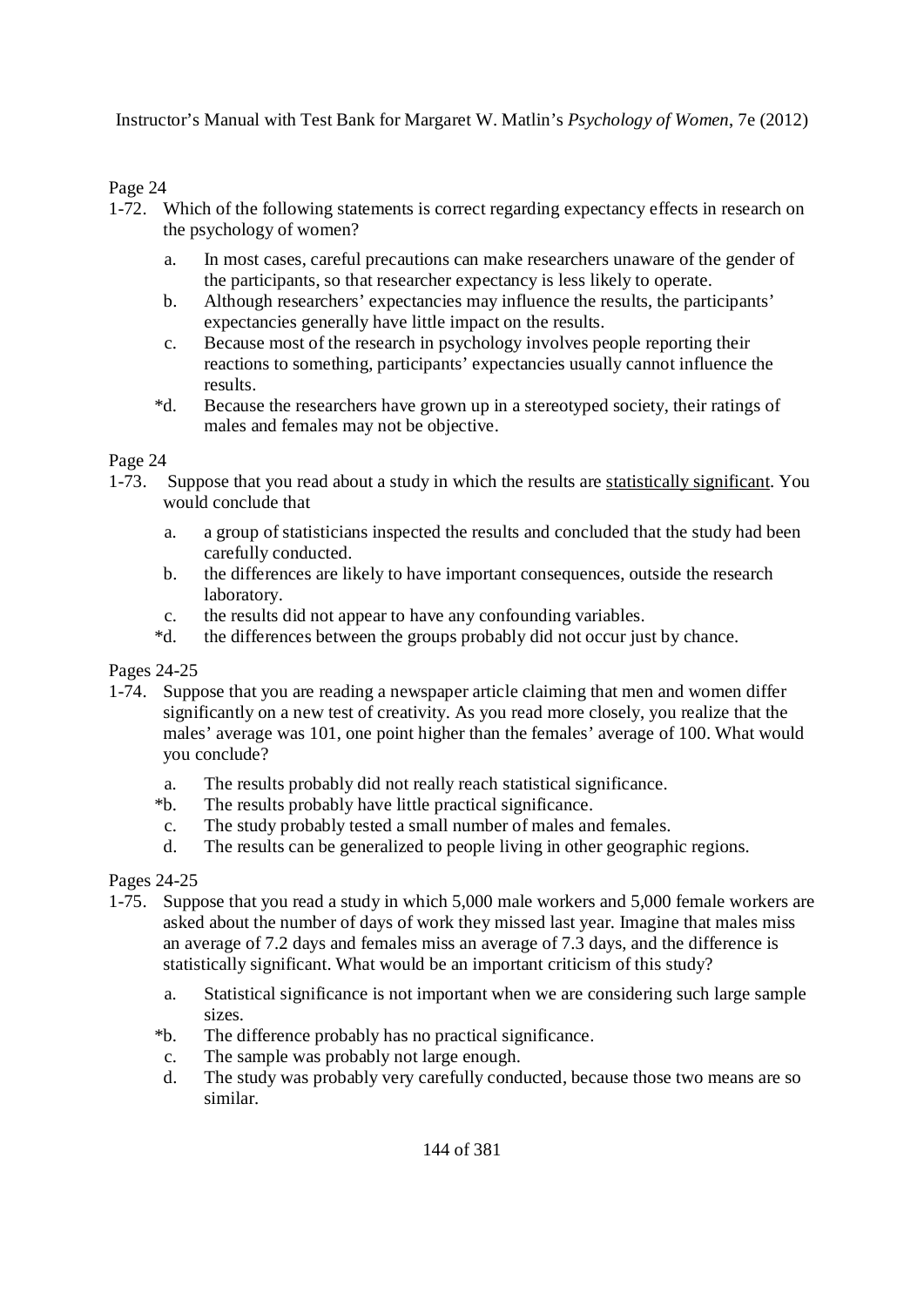## Page 24

- 1-72. Which of the following statements is correct regarding expectancy effects in research on the psychology of women?
	- a. In most cases, careful precautions can make researchers unaware of the gender of the participants, so that researcher expectancy is less likely to operate.
	- b. Although researchers' expectancies may influence the results, the participants' expectancies generally have little impact on the results.
	- c. Because most of the research in psychology involves people reporting their reactions to something, participants' expectancies usually cannot influence the results.
	- \*d. Because the researchers have grown up in a stereotyped society, their ratings of males and females may not be objective.

#### Page 24

- 1-73. Suppose that you read about a study in which the results are statistically significant. You would conclude that
	- a. a group of statisticians inspected the results and concluded that the study had been carefully conducted.
	- b. the differences are likely to have important consequences, outside the research laboratory.
	- c. the results did not appear to have any confounding variables.
	- \*d. the differences between the groups probably did not occur just by chance.

## Pages 24-25

- 1-74. Suppose that you are reading a newspaper article claiming that men and women differ significantly on a new test of creativity. As you read more closely, you realize that the males' average was 101, one point higher than the females' average of 100. What would you conclude?
	- a. The results probably did not really reach statistical significance.
	- \*b. The results probably have little practical significance.
	- c. The study probably tested a small number of males and females.
	- d. The results can be generalized to people living in other geographic regions.

## Pages 24-25

- 1-75. Suppose that you read a study in which 5,000 male workers and 5,000 female workers are asked about the number of days of work they missed last year. Imagine that males miss an average of 7.2 days and females miss an average of 7.3 days, and the difference is statistically significant. What would be an important criticism of this study?
	- a. Statistical significance is not important when we are considering such large sample sizes.
	- \*b. The difference probably has no practical significance.
	- c. The sample was probably not large enough.
	- d. The study was probably very carefully conducted, because those two means are so similar.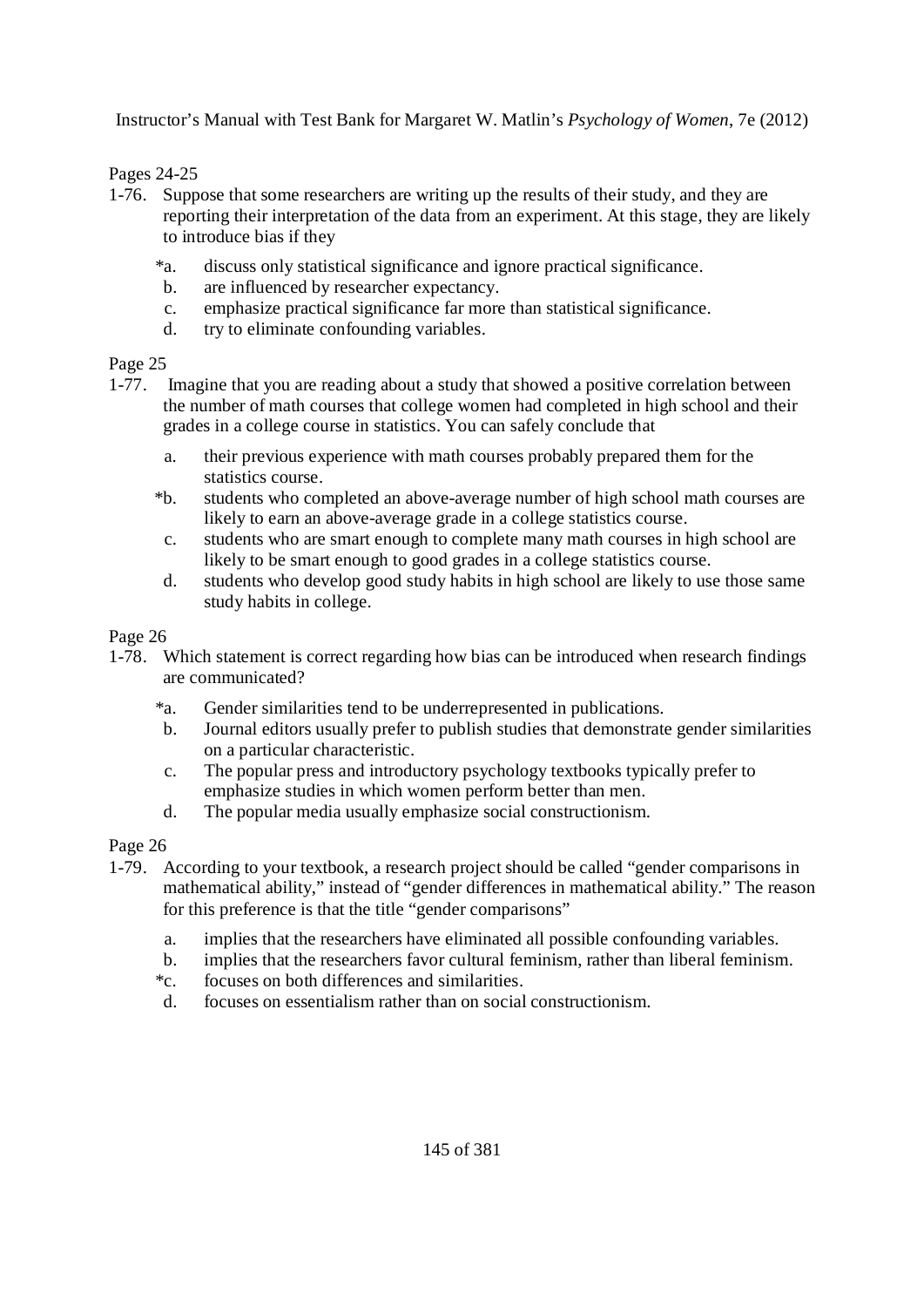#### Pages 24-25

- 1-76. Suppose that some researchers are writing up the results of their study, and they are reporting their interpretation of the data from an experiment. At this stage, they are likely to introduce bias if they
	- \*a. discuss only statistical significance and ignore practical significance.
	- b. are influenced by researcher expectancy.
	- c. emphasize practical significance far more than statistical significance.
	- d. try to eliminate confounding variables.

#### Page 25

- 1-77. Imagine that you are reading about a study that showed a positive correlation between the number of math courses that college women had completed in high school and their grades in a college course in statistics. You can safely conclude that
	- a. their previous experience with math courses probably prepared them for the statistics course.
	- \*b. students who completed an above-average number of high school math courses are likely to earn an above-average grade in a college statistics course.
	- c. students who are smart enough to complete many math courses in high school are likely to be smart enough to good grades in a college statistics course.
	- d. students who develop good study habits in high school are likely to use those same study habits in college.

#### Page 26

- 1-78. Which statement is correct regarding how bias can be introduced when research findings are communicated?
	- \*a. Gender similarities tend to be underrepresented in publications.
	- b. Journal editors usually prefer to publish studies that demonstrate gender similarities on a particular characteristic.
	- c. The popular press and introductory psychology textbooks typically prefer to emphasize studies in which women perform better than men.
	- d. The popular media usually emphasize social constructionism.

- 1-79. According to your textbook, a research project should be called "gender comparisons in mathematical ability," instead of "gender differences in mathematical ability." The reason for this preference is that the title "gender comparisons"
	- a. implies that the researchers have eliminated all possible confounding variables.
	- b. implies that the researchers favor cultural feminism, rather than liberal feminism.
	- \*c. focuses on both differences and similarities.
	- d. focuses on essentialism rather than on social constructionism.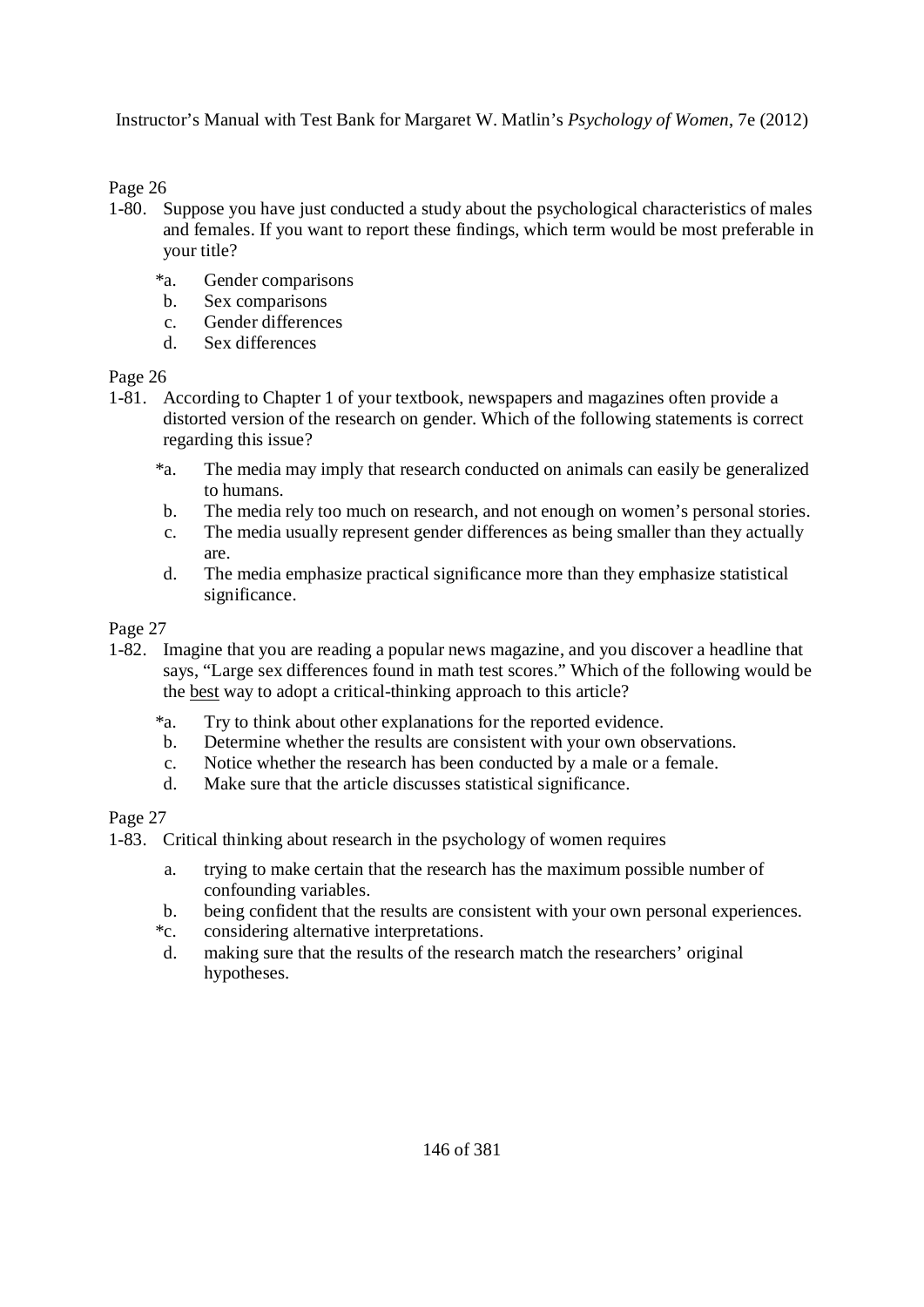Page 26

- 1-80. Suppose you have just conducted a study about the psychological characteristics of males and females. If you want to report these findings, which term would be most preferable in your title?
	- \*a. Gender comparisons
	- b. Sex comparisons
	- c. Gender differences
	- d. Sex differences

Page 26

- 1-81. According to Chapter 1 of your textbook, newspapers and magazines often provide a distorted version of the research on gender. Which of the following statements is correct regarding this issue?
	- \*a. The media may imply that research conducted on animals can easily be generalized to humans.
	- b. The media rely too much on research, and not enough on women's personal stories.
	- c. The media usually represent gender differences as being smaller than they actually are.
	- d. The media emphasize practical significance more than they emphasize statistical significance.

## Page 27

- 1-82. Imagine that you are reading a popular news magazine, and you discover a headline that says, "Large sex differences found in math test scores." Which of the following would be the best way to adopt a critical-thinking approach to this article?
	- \*a. Try to think about other explanations for the reported evidence.
	- b. Determine whether the results are consistent with your own observations.
	- c. Notice whether the research has been conducted by a male or a female.
	- d. Make sure that the article discusses statistical significance.

- 1-83. Critical thinking about research in the psychology of women requires
	- a. trying to make certain that the research has the maximum possible number of confounding variables.
	- b. being confident that the results are consistent with your own personal experiences.
	- \*c. considering alternative interpretations.
	- d. making sure that the results of the research match the researchers' original hypotheses.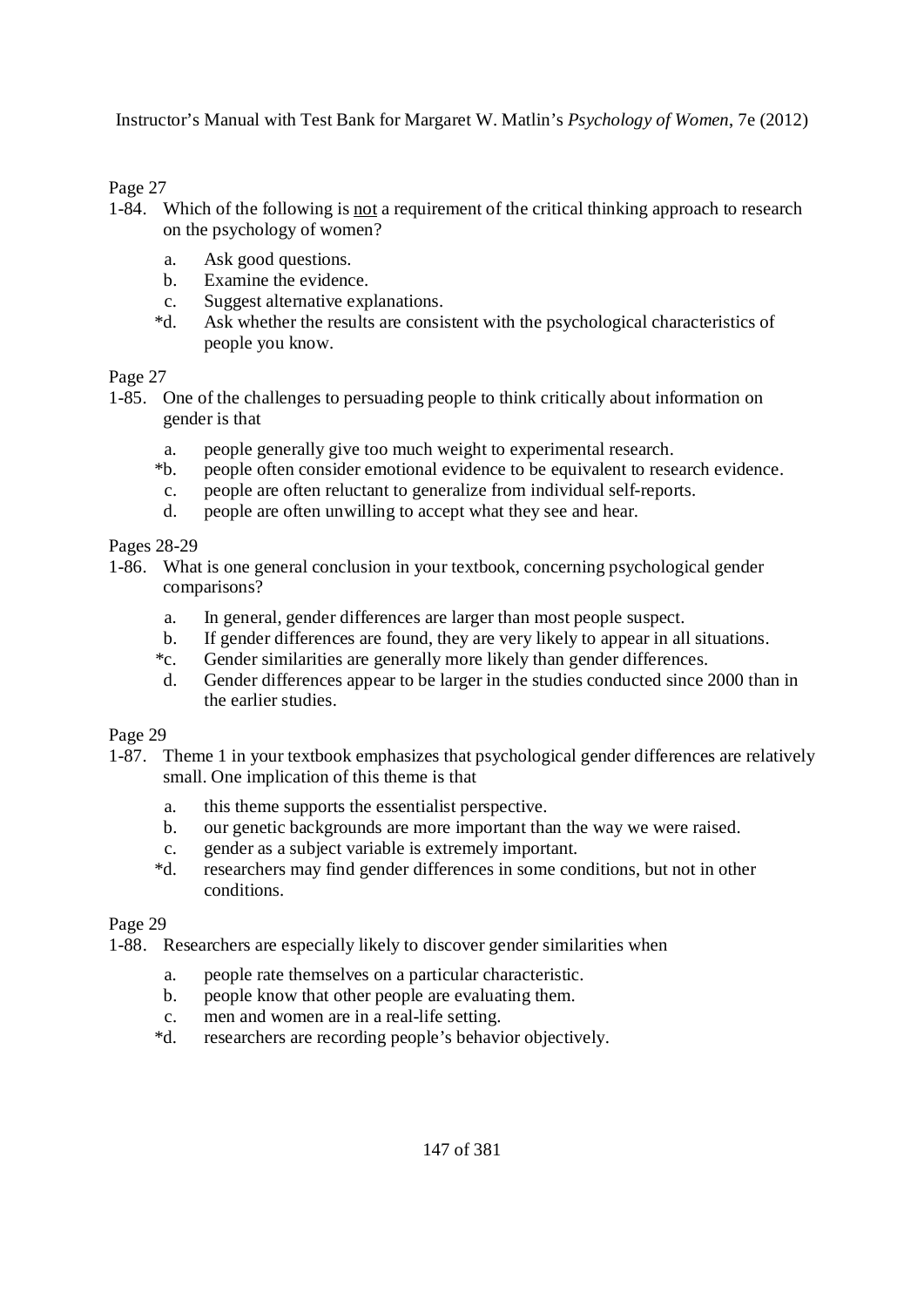Page 27

- 1-84. Which of the following is not a requirement of the critical thinking approach to research on the psychology of women?
	- a. Ask good questions.
	- b. Examine the evidence.
	- c. Suggest alternative explanations.
	- \*d. Ask whether the results are consistent with the psychological characteristics of people you know.

Page 27

- 1-85. One of the challenges to persuading people to think critically about information on gender is that
	- a. people generally give too much weight to experimental research.
	- \*b. people often consider emotional evidence to be equivalent to research evidence.
	- c. people are often reluctant to generalize from individual self-reports.
	- d. people are often unwilling to accept what they see and hear.

Pages 28-29

- 1-86. What is one general conclusion in your textbook, concerning psychological gender comparisons?
	- a. In general, gender differences are larger than most people suspect.
	- b. If gender differences are found, they are very likely to appear in all situations.
	- \*c. Gender similarities are generally more likely than gender differences.
	- d. Gender differences appear to be larger in the studies conducted since 2000 than in the earlier studies.

Page 29

- 1-87. Theme 1 in your textbook emphasizes that psychological gender differences are relatively small. One implication of this theme is that
	- a. this theme supports the essentialist perspective.
	- b. our genetic backgrounds are more important than the way we were raised.
	- c. gender as a subject variable is extremely important.
	- \*d. researchers may find gender differences in some conditions, but not in other conditions.

Page 29

1-88. Researchers are especially likely to discover gender similarities when

- a. people rate themselves on a particular characteristic.
- b. people know that other people are evaluating them.
- c. men and women are in a real-life setting.
- \*d. researchers are recording people's behavior objectively.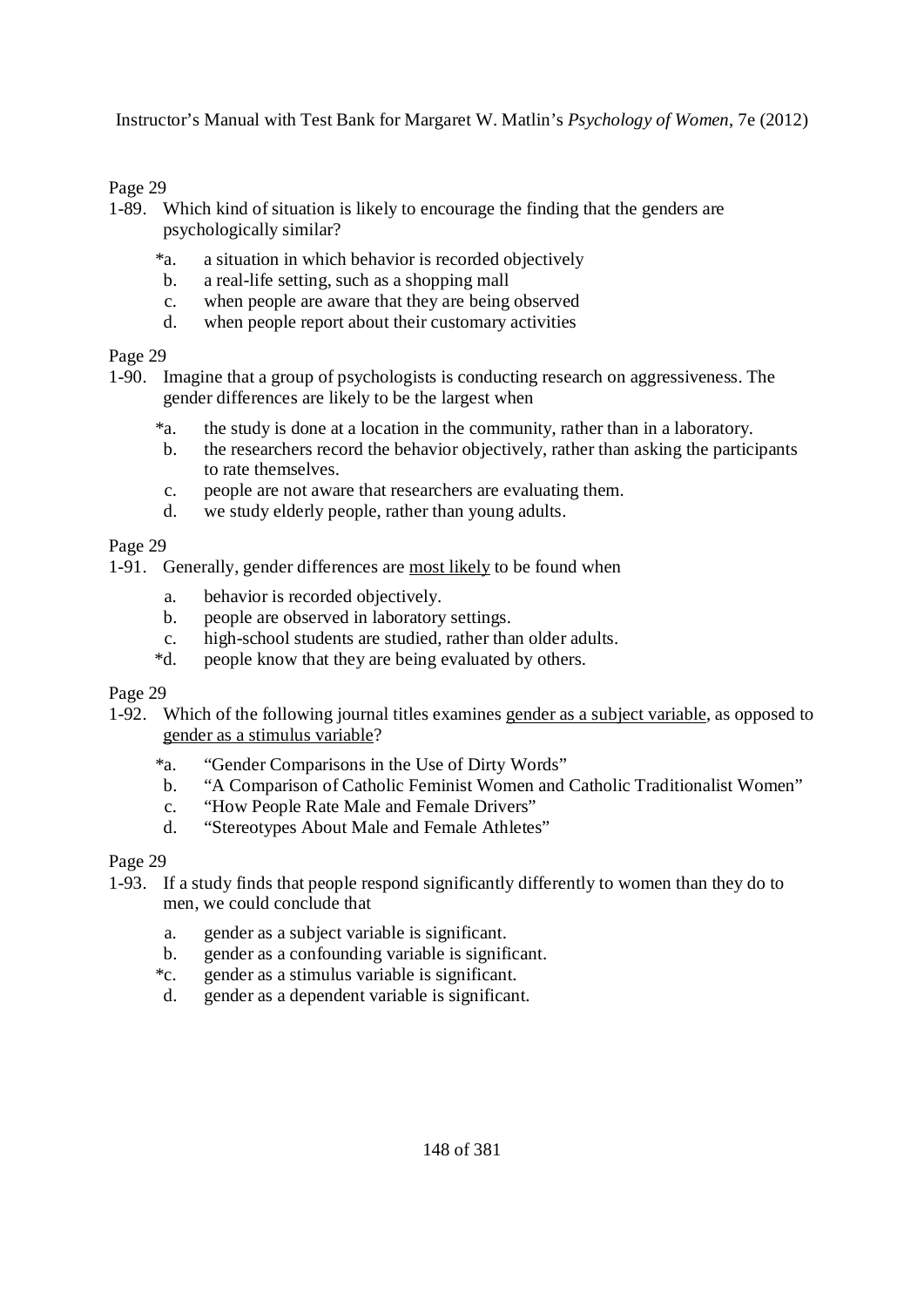#### Page 29

- 1-89. Which kind of situation is likely to encourage the finding that the genders are psychologically similar?
	- \*a. a situation in which behavior is recorded objectively
	- b. a real-life setting, such as a shopping mall
	- c. when people are aware that they are being observed
	- d. when people report about their customary activities

#### Page 29

- 1-90. Imagine that a group of psychologists is conducting research on aggressiveness. The gender differences are likely to be the largest when
	- \*a. the study is done at a location in the community, rather than in a laboratory.
	- b. the researchers record the behavior objectively, rather than asking the participants to rate themselves.
	- c. people are not aware that researchers are evaluating them.
	- d. we study elderly people, rather than young adults.

#### Page 29

- 1-91. Generally, gender differences are most likely to be found when
	- a. behavior is recorded objectively.
	- b. people are observed in laboratory settings.
	- c. high-school students are studied, rather than older adults.
	- \*d. people know that they are being evaluated by others.

#### Page 29

- 1-92. Which of the following journal titles examines gender as a subject variable, as opposed to gender as a stimulus variable?
	- \*a. "Gender Comparisons in the Use of Dirty Words"
	- b. "A Comparison of Catholic Feminist Women and Catholic Traditionalist Women"
	- c. "How People Rate Male and Female Drivers"
	- d. "Stereotypes About Male and Female Athletes"

- 1-93. If a study finds that people respond significantly differently to women than they do to men, we could conclude that
	- a. gender as a subject variable is significant.
	- b. gender as a confounding variable is significant.
	- \*c. gender as a stimulus variable is significant.
	- d. gender as a dependent variable is significant.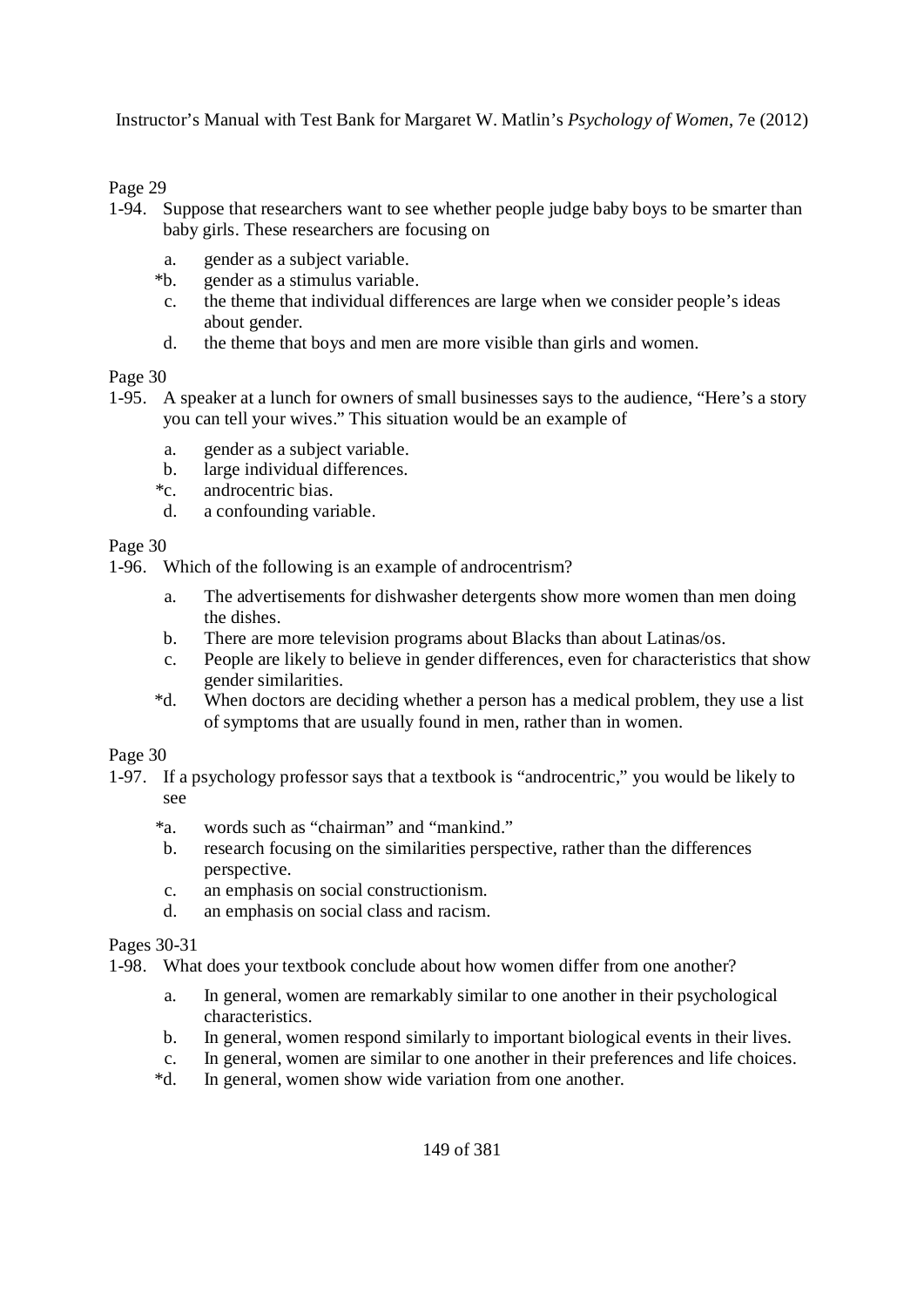Page 29

- 1-94. Suppose that researchers want to see whether people judge baby boys to be smarter than baby girls. These researchers are focusing on
	- a. gender as a subject variable.
	- \*b. gender as a stimulus variable.
	- c. the theme that individual differences are large when we consider people's ideas about gender.
	- d. the theme that boys and men are more visible than girls and women.

Page 30

- 1-95. A speaker at a lunch for owners of small businesses says to the audience, "Here's a story you can tell your wives." This situation would be an example of
	- a. gender as a subject variable.
	- b. large individual differences.
	- \*c. androcentric bias.
	- d. a confounding variable.

Page 30

1-96. Which of the following is an example of androcentrism?

- a. The advertisements for dishwasher detergents show more women than men doing the dishes.
- b. There are more television programs about Blacks than about Latinas/os.
- c. People are likely to believe in gender differences, even for characteristics that show gender similarities.
- \*d. When doctors are deciding whether a person has a medical problem, they use a list of symptoms that are usually found in men, rather than in women.

Page 30

- 1-97. If a psychology professor says that a textbook is "androcentric," you would be likely to see
	- \*a. words such as "chairman" and "mankind."
	- b. research focusing on the similarities perspective, rather than the differences perspective.
	- c. an emphasis on social constructionism.
	- d. an emphasis on social class and racism.

Pages 30-31

1-98. What does your textbook conclude about how women differ from one another?

- a. In general, women are remarkably similar to one another in their psychological characteristics.
- b. In general, women respond similarly to important biological events in their lives.
- c. In general, women are similar to one another in their preferences and life choices.
- \*d. In general, women show wide variation from one another.